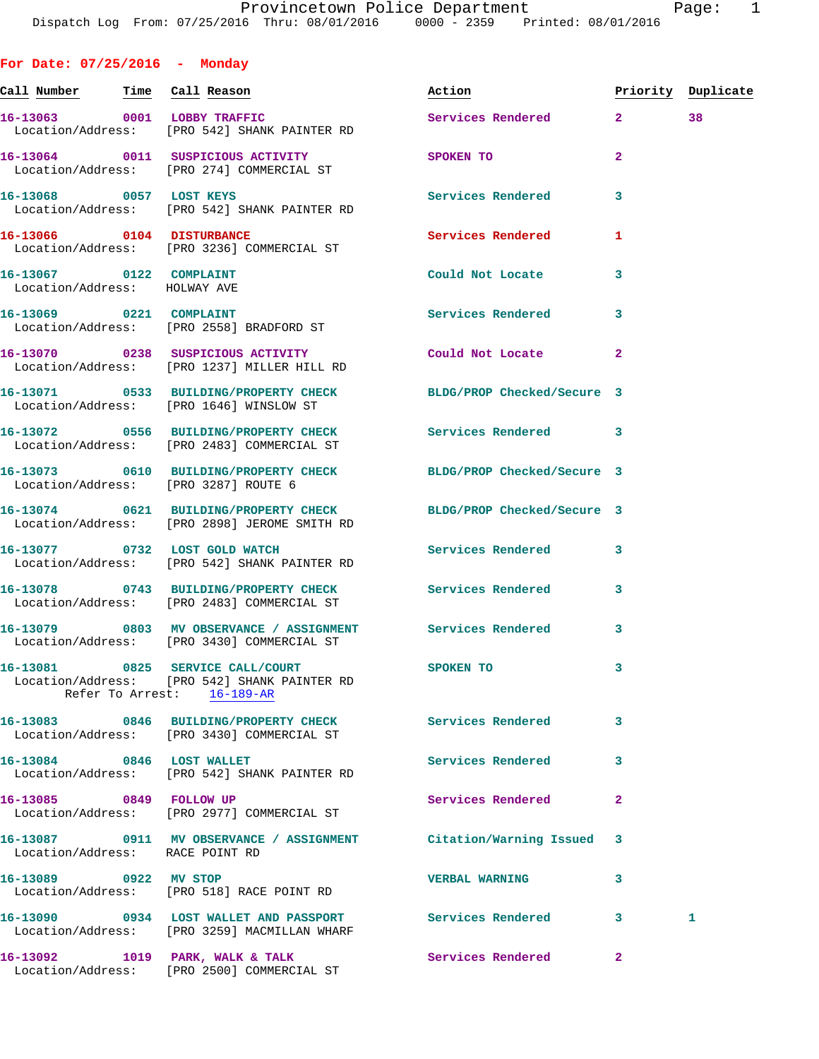**For Date: 07/25/2016 - Monday Call Number Time Call Reason Action Priority Duplicate 16-13063 0001 LOBBY TRAFFIC Services Rendered 2 38**  Location/Address: [PRO 542] SHANK PAINTER RD **16-13064 0011 SUSPICIOUS ACTIVITY SPOKEN TO 2**  Location/Address: [PRO 274] COMMERCIAL ST **16-13068 0057 LOST KEYS Services Rendered 3**  Location/Address: [PRO 542] SHANK PAINTER RD **16-13066 0104 DISTURBANCE Services Rendered 1**  Location/Address: [PRO 3236] COMMERCIAL ST **16-13067 0122 COMPLAINT Could Not Locate 3**  Location/Address: HOLWAY AVE **16-13069 0221 COMPLAINT Services Rendered 3**  Location/Address: [PRO 2558] BRADFORD ST **16-13070 0238 SUSPICIOUS ACTIVITY Could Not Locate 2**  Location/Address: [PRO 1237] MILLER HILL RD **16-13071 0533 BUILDING/PROPERTY CHECK BLDG/PROP Checked/Secure 3**  Location/Address: [PRO 1646] WINSLOW ST **16-13072 0556 BUILDING/PROPERTY CHECK Services Rendered 3**  Location/Address: [PRO 2483] COMMERCIAL ST **16-13073 0610 BUILDING/PROPERTY CHECK BLDG/PROP Checked/Secure 3**  Location/Address: [PRO 3287] ROUTE 6 **16-13074 0621 BUILDING/PROPERTY CHECK BLDG/PROP Checked/Secure 3**  Location/Address: [PRO 2898] JEROME SMITH RD **16-13077 0732 LOST GOLD WATCH Services Rendered 3**  Location/Address: [PRO 542] SHANK PAINTER RD **16-13078 0743 BUILDING/PROPERTY CHECK Services Rendered 3**  Location/Address: [PRO 2483] COMMERCIAL ST **16-13079 0803 MV OBSERVANCE / ASSIGNMENT Services Rendered 3**  Location/Address: [PRO 3430] COMMERCIAL ST **16-13081 0825 SERVICE CALL/COURT SPOKEN TO 3**  Location/Address: [PRO 542] SHANK PAINTER RD Refer To Arrest: 16-189-AR **16-13083 0846 BUILDING/PROPERTY CHECK Services Rendered 3**  Location/Address: [PRO 3430] COMMERCIAL ST 16-13084 0846 LOST WALLET Services Rendered 3 Location/Address: [PRO 542] SHANK PAINTER RD **16-13085 0849 FOLLOW UP Services Rendered 2**  Location/Address: [PRO 2977] COMMERCIAL ST **16-13087 0911 MV OBSERVANCE / ASSIGNMENT Citation/Warning Issued 3**  Location/Address: RACE POINT RD **16-13089 0922 MV STOP VERBAL WARNING 3** 

 Location/Address: [PRO 518] RACE POINT RD **16-13090 0934 LOST WALLET AND PASSPORT Services Rendered 3 1**  Location/Address: [PRO 3259] MACMILLAN WHARF 16-13092 1019 PARK, WALK & TALK **Services Rendered** 2 Location/Address: [PRO 2500] COMMERCIAL ST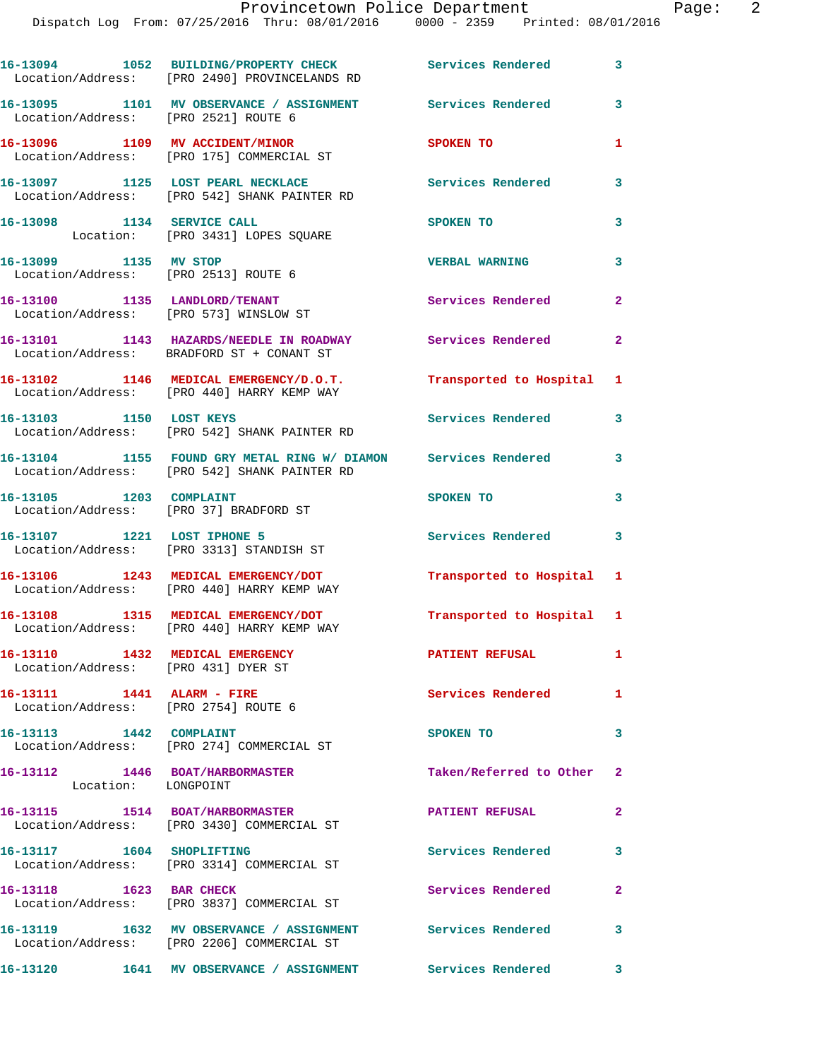|                                                                        | 16-13094 1052 BUILDING/PROPERTY CHECK Services Rendered<br>Location/Address: [PRO 2490] PROVINCELANDS RD      |                           | $\overline{\mathbf{3}}$ |
|------------------------------------------------------------------------|---------------------------------------------------------------------------------------------------------------|---------------------------|-------------------------|
| Location/Address: [PRO 2521] ROUTE 6                                   | 16-13095 1101 MV OBSERVANCE / ASSIGNMENT Services Rendered                                                    |                           | $\overline{\mathbf{3}}$ |
|                                                                        | 16-13096 1109 MV ACCIDENT/MINOR<br>Location/Address: [PRO 175] COMMERCIAL ST                                  | SPOKEN TO                 | 1                       |
|                                                                        | 16-13097 1125 LOST PEARL NECKLACE<br>Location/Address: [PRO 542] SHANK PAINTER RD                             | <b>Services Rendered</b>  | 3                       |
| 16-13098 1134 SERVICE CALL                                             | Location: [PRO 3431] LOPES SQUARE                                                                             | SPOKEN TO                 | 3                       |
| 16-13099 1135 MV STOP<br>Location/Address: [PRO 2513] ROUTE 6          |                                                                                                               | <b>VERBAL WARNING</b>     | 3                       |
|                                                                        | 16-13100 1135 LANDLORD/TENANT<br>Location/Address: [PRO 573] WINSLOW ST                                       | Services Rendered         | $\overline{2}$          |
|                                                                        | 16-13101 1143 HAZARDS/NEEDLE IN ROADWAY Services Rendered<br>Location/Address: BRADFORD ST + CONANT ST        |                           | $\mathbf{2}$            |
|                                                                        | 16-13102 1146 MEDICAL EMERGENCY/D.O.T.<br>Location/Address: [PRO 440] HARRY KEMP WAY                          | Transported to Hospital 1 |                         |
| 16-13103 1150 LOST KEYS                                                | Location/Address: [PRO 542] SHANK PAINTER RD                                                                  | Services Rendered         | 3                       |
|                                                                        | 16-13104 1155 FOUND GRY METAL RING W/DIAMON Services Rendered<br>Location/Address: [PRO 542] SHANK PAINTER RD |                           | 3                       |
| 16-13105 1203 COMPLAINT<br>Location/Address: [PRO 37] BRADFORD ST      |                                                                                                               | SPOKEN TO                 | 3                       |
| 16-13107 1221 LOST IPHONE 5                                            | Location/Address: [PRO 3313] STANDISH ST                                                                      | Services Rendered         | 3                       |
|                                                                        | 16-13106 1243 MEDICAL EMERGENCY/DOT<br>Location/Address: [PRO 440] HARRY KEMP WAY                             | Transported to Hospital 1 |                         |
|                                                                        | 16-13108 1315 MEDICAL EMERGENCY/DOT<br>Location/Address: [PRO 440] HARRY KEMP WAY                             | Transported to Hospital 1 |                         |
| 16-13110 1432 MEDICAL EMERGENCY<br>Location/Address: [PRO 431] DYER ST |                                                                                                               | <b>PATIENT REFUSAL</b>    | $\mathbf{1}$            |
| 16-13111 1441 ALARM - FIRE<br>Location/Address: [PRO 2754] ROUTE 6     |                                                                                                               | Services Rendered 1       |                         |
| 16-13113 1442 COMPLAINT                                                | Location/Address: [PRO 274] COMMERCIAL ST                                                                     | SPOKEN TO                 | 3                       |
| 16-13112 1446 BOAT/HARBORMASTER<br>Location: LONGPOINT                 |                                                                                                               | Taken/Referred to Other 2 |                         |
|                                                                        | 16-13115 1514 BOAT/HARBORMASTER<br>Location/Address: [PRO 3430] COMMERCIAL ST                                 | <b>PATIENT REFUSAL</b>    | $\mathbf{2}$            |
| 16-13117 1604 SHOPLIFTING                                              | Location/Address: [PRO 3314] COMMERCIAL ST                                                                    | Services Rendered         | 3                       |
|                                                                        | 16-13118 1623 BAR CHECK<br>Location/Address: [PRO 3837] COMMERCIAL ST                                         | Services Rendered         | $\mathbf{2}$            |
|                                                                        | 16-13119 1632 MV OBSERVANCE / ASSIGNMENT<br>Location/Address: [PRO 2206] COMMERCIAL ST                        | Services Rendered         | 3                       |
|                                                                        | 16-13120 1641 MV OBSERVANCE / ASSIGNMENT Services Rendered 3                                                  |                           |                         |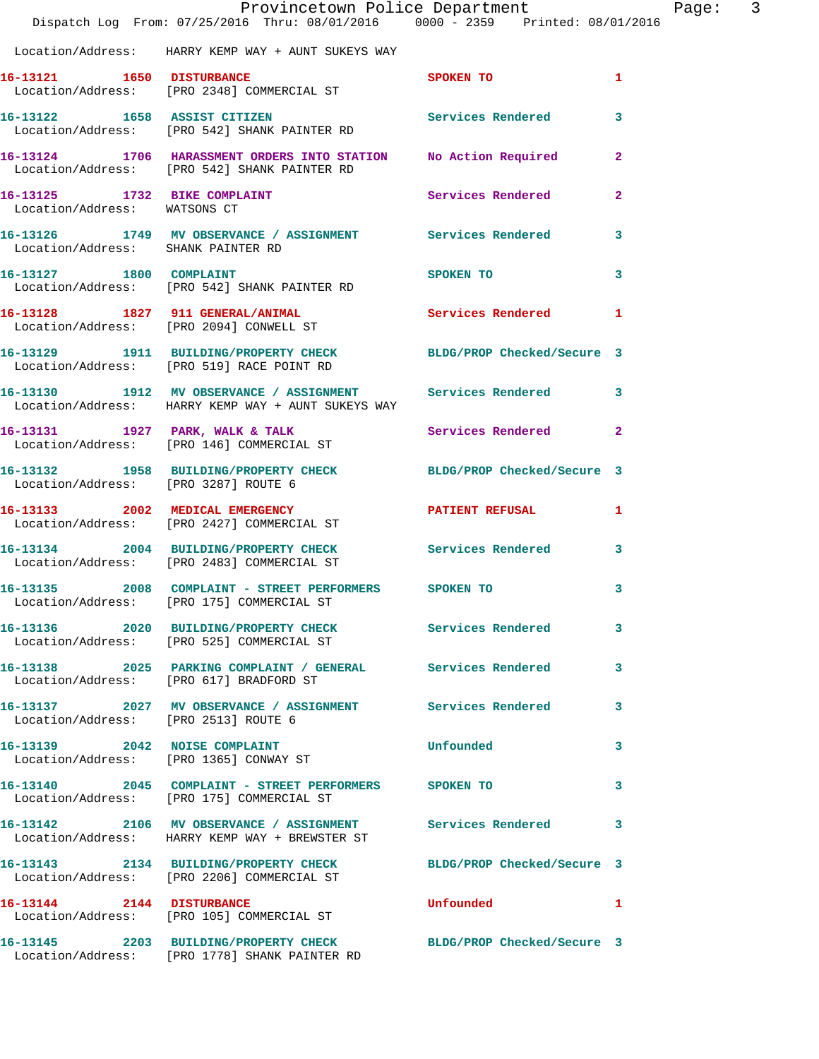|                                      | Dispatch Log From: 07/25/2016 Thru: 08/01/2016 0000 - 2359 Printed: 08/01/2016                                     | Provincetown Police Department | Page: 3        |
|--------------------------------------|--------------------------------------------------------------------------------------------------------------------|--------------------------------|----------------|
|                                      | Location/Address: HARRY KEMP WAY + AUNT SUKEYS WAY                                                                 |                                |                |
|                                      | 16-13121 1650 DISTURBANCE<br>Location/Address: [PRO 2348] COMMERCIAL ST                                            | SPOKEN TO                      | $\mathbf{1}$   |
|                                      | 16-13122 1658 ASSIST CITIZEN<br>Location/Address: [PRO 542] SHANK PAINTER RD                                       | Services Rendered              | $\mathbf{3}$   |
|                                      | 16-13124 1706 HARASSMENT ORDERS INTO STATION No Action Required 2<br>Location/Address: [PRO 542] SHANK PAINTER RD  |                                |                |
| Location/Address: WATSONS CT         | 16-13125 1732 BIKE COMPLAINT                                                                                       | Services Rendered              | $\mathbf{2}$   |
| Location/Address: SHANK PAINTER RD   | 16-13126 1749 MV OBSERVANCE / ASSIGNMENT Services Rendered 3                                                       |                                |                |
|                                      | 16-13127 1800 COMPLAINT<br>Location/Address: [PRO 542] SHANK PAINTER RD                                            | SPOKEN TO                      | 3              |
|                                      | 16-13128 1827 911 GENERAL/ANIMAL ST Services Rendered 1 Location/Address: [PRO 2094] CONWELL ST                    |                                |                |
|                                      | 16-13129 1911 BUILDING/PROPERTY CHECK BLDG/PROP Checked/Secure 3<br>Location/Address: [PRO 519] RACE POINT RD      |                                |                |
|                                      | 16-13130 1912 MV OBSERVANCE / ASSIGNMENT Services Rendered 3<br>Location/Address: HARRY KEMP WAY + AUNT SUKEYS WAY |                                |                |
|                                      | 16-13131 1927 PARK, WALK & TALK<br>Location/Address: [PRO 146] COMMERCIAL ST                                       | Services Rendered              | $\overline{2}$ |
| Location/Address: [PRO 3287] ROUTE 6 | 16-13132 1958 BUILDING/PROPERTY CHECK BLDG/PROP Checked/Secure 3                                                   |                                |                |
|                                      | 16-13133 2002 MEDICAL EMERGENCY PATIENT REFUSAL 1<br>Location/Address: [PRO 2427] COMMERCIAL ST                    |                                |                |
|                                      | 16-13134 2004 BUILDING/PROPERTY CHECK Services Rendered<br>Location/Address: [PRO 2483] COMMERCIAL ST              |                                | $\mathbf{3}$   |
|                                      | 16-13135 2008 COMPLAINT - STREET PERFORMERS SPOKEN TO<br>Location/Address: [PRO 175] COMMERCIAL ST                 |                                | $\mathbf{3}$   |
|                                      | 16-13136 2020 BUILDING/PROPERTY CHECK Services Rendered 3<br>Location/Address: [PRO 525] COMMERCIAL ST             |                                |                |
|                                      | 16-13138 2025 PARKING COMPLAINT / GENERAL Services Rendered 3<br>Location/Address: [PRO 617] BRADFORD ST           |                                |                |
| Location/Address: [PRO 2513] ROUTE 6 | 16-13137 2027 MV OBSERVANCE / ASSIGNMENT Services Rendered 3                                                       |                                |                |
|                                      | 16-13139 2042 NOISE COMPLAINT<br>Location/Address: [PRO 1365] CONWAY ST                                            | Unfounded                      | 3              |
|                                      | 16-13140 2045 COMPLAINT - STREET PERFORMERS SPOKEN TO<br>Location/Address: [PRO 175] COMMERCIAL ST                 |                                | 3              |
|                                      | 16-13142 2106 MV OBSERVANCE / ASSIGNMENT Services Rendered 3<br>Location/Address: HARRY KEMP WAY + BREWSTER ST     |                                |                |
|                                      | 16-13143 2134 BUILDING/PROPERTY CHECK BLDG/PROP Checked/Secure 3<br>Location/Address: [PRO 2206] COMMERCIAL ST     |                                |                |
|                                      | 16-13144 2144 DISTURBANCE<br>Location/Address: [PRO 105] COMMERCIAL ST                                             | Unfounded 1                    |                |
|                                      | 16-13145 2203 BUILDING/PROPERTY CHECK BLDG/PROP Checked/Secure 3<br>Location/Address: [PRO 1778] SHANK PAINTER RD  |                                |                |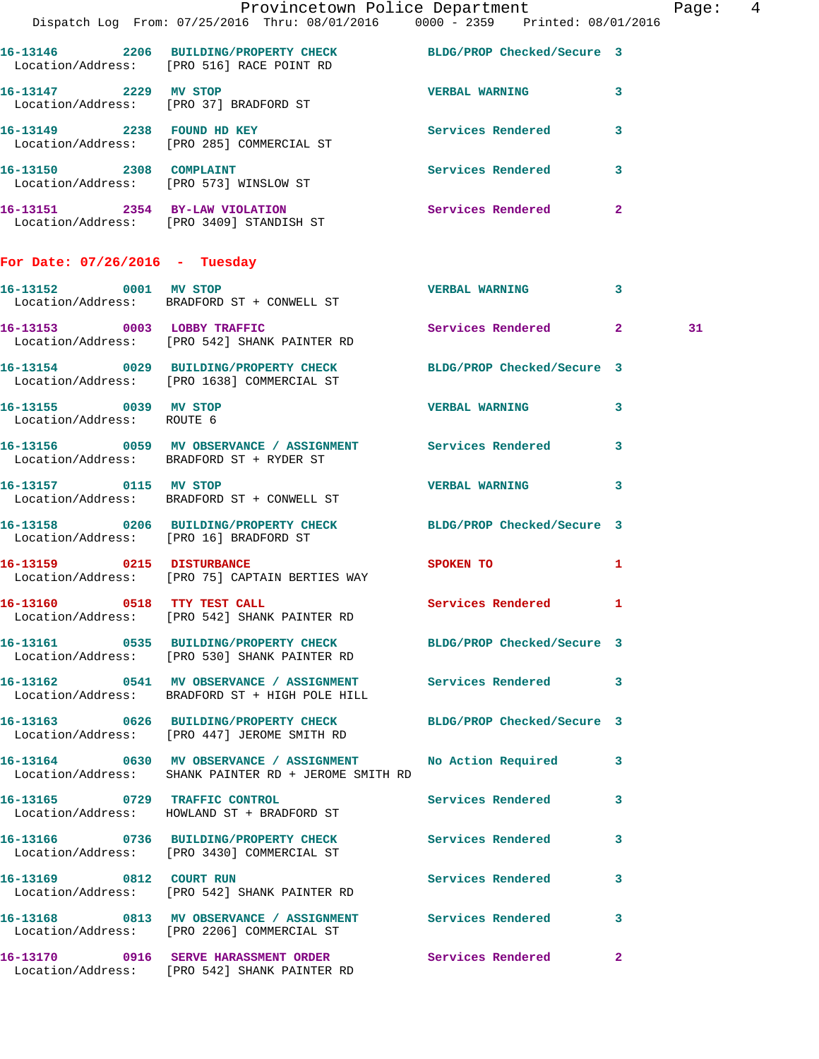|                                                    | Provincetown Police Department<br>Dispatch Log From: 07/25/2016 Thru: 08/01/2016 0000 - 2359 Printed: 08/01/2016      |                                                                                                                |              | Page: 4 |  |
|----------------------------------------------------|-----------------------------------------------------------------------------------------------------------------------|----------------------------------------------------------------------------------------------------------------|--------------|---------|--|
|                                                    |                                                                                                                       |                                                                                                                |              |         |  |
|                                                    | 16-13146 2206 BUILDING/PROPERTY CHECK BLDG/PROP Checked/Secure 3<br>Location/Address: [PRO 516] RACE POINT RD         |                                                                                                                |              |         |  |
| 16-13147 2229 MV STOP                              | Location/Address: [PRO 37] BRADFORD ST                                                                                | <b>VERBAL WARNING 3</b>                                                                                        |              |         |  |
|                                                    | 16-13149 2238 FOUND HD KEY<br>Location/Address: [PRO 285] COMMERCIAL ST                                               | Services Rendered 3                                                                                            |              |         |  |
|                                                    | 16-13150 2308 COMPLAINT<br>Location/Address: [PRO 573] WINSLOW ST                                                     | Services Rendered 3                                                                                            |              |         |  |
|                                                    | 16-13151 2354 BY-LAW VIOLATION<br>Location/Address: [PRO 3409] STANDISH ST                                            | Services Rendered 2                                                                                            |              |         |  |
| For Date: $07/26/2016$ - Tuesday                   |                                                                                                                       |                                                                                                                |              |         |  |
|                                                    | 16-13152 0001 MV STOP<br>Location/Address: BRADFORD ST + CONWELL ST                                                   | VERBAL WARNING 3                                                                                               |              |         |  |
|                                                    | 16-13153 0003 LOBBY TRAFFIC<br>Location/Address: [PRO 542] SHANK PAINTER RD                                           | Services Rendered 2                                                                                            |              | 31      |  |
|                                                    | 16-13154 0029 BUILDING/PROPERTY CHECK BLDG/PROP Checked/Secure 3<br>Location/Address: [PRO 1638] COMMERCIAL ST        |                                                                                                                |              |         |  |
| 16-13155 0039 MV STOP<br>Location/Address: ROUTE 6 |                                                                                                                       | VERBAL WARNING 3                                                                                               |              |         |  |
|                                                    | 16-13156 0059 MV OBSERVANCE / ASSIGNMENT Services Rendered 3<br>Location/Address: BRADFORD ST + RYDER ST              |                                                                                                                |              |         |  |
|                                                    | 16-13157 0115 MV STOP<br>Location/Address: BRADFORD ST + CONWELL ST                                                   | VERBAL WARNING 3                                                                                               |              |         |  |
|                                                    | 16-13158 0206 BUILDING/PROPERTY CHECK BLDG/PROP Checked/Secure 3<br>Location/Address: [PRO 16] BRADFORD ST            |                                                                                                                |              |         |  |
|                                                    | 16-13159 0215 DISTURBANCE<br>Location/Address: [PRO 75] CAPTAIN BERTIES WAY                                           | SPOKEN TO AND TO A REAL PROPERTY OF THE STATE OF THE STATE OF THE STATE OF THE STATE OF THE STATE OF THE STATE | $\mathbf{1}$ |         |  |
|                                                    | 16-13160 0518 TTY TEST CALL<br>Location/Address: [PRO 542] SHANK PAINTER RD                                           | Services Rendered 1                                                                                            |              |         |  |
|                                                    | 16-13161 0535 BUILDING/PROPERTY CHECK BLDG/PROP Checked/Secure 3<br>Location/Address: [PRO 530] SHANK PAINTER RD      |                                                                                                                |              |         |  |
|                                                    | 16-13162 0541 MV OBSERVANCE / ASSIGNMENT Services Rendered 3<br>Location/Address: BRADFORD ST + HIGH POLE HILL        |                                                                                                                |              |         |  |
|                                                    | 16-13163 0626 BUILDING/PROPERTY CHECK BLDG/PROP Checked/Secure 3<br>Location/Address: [PRO 447] JEROME SMITH RD       |                                                                                                                |              |         |  |
|                                                    | 16-13164 0630 MV OBSERVANCE / ASSIGNMENT No Action Required 3<br>Location/Address: SHANK PAINTER RD + JEROME SMITH RD |                                                                                                                |              |         |  |
|                                                    | 16-13165 0729 TRAFFIC CONTROL<br>Location/Address: HOWLAND ST + BRADFORD ST                                           | Services Rendered                                                                                              | 3            |         |  |
|                                                    | 16-13166 0736 BUILDING/PROPERTY CHECK Services Rendered 3<br>Location/Address: [PRO 3430] COMMERCIAL ST               |                                                                                                                |              |         |  |
|                                                    | 16-13169 0812 COURT RUN<br>Location/Address: [PRO 542] SHANK PAINTER RD                                               | Services Rendered                                                                                              | 3            |         |  |
|                                                    | 16-13168 0813 MV OBSERVANCE / ASSIGNMENT Services Rendered 3<br>Location/Address: [PRO 2206] COMMERCIAL ST            |                                                                                                                |              |         |  |
|                                                    | 16-13170 0916 SERVE HARASSMENT ORDER Services Rendered 2<br>Location/Address: [PRO 542] SHANK PAINTER RD              |                                                                                                                |              |         |  |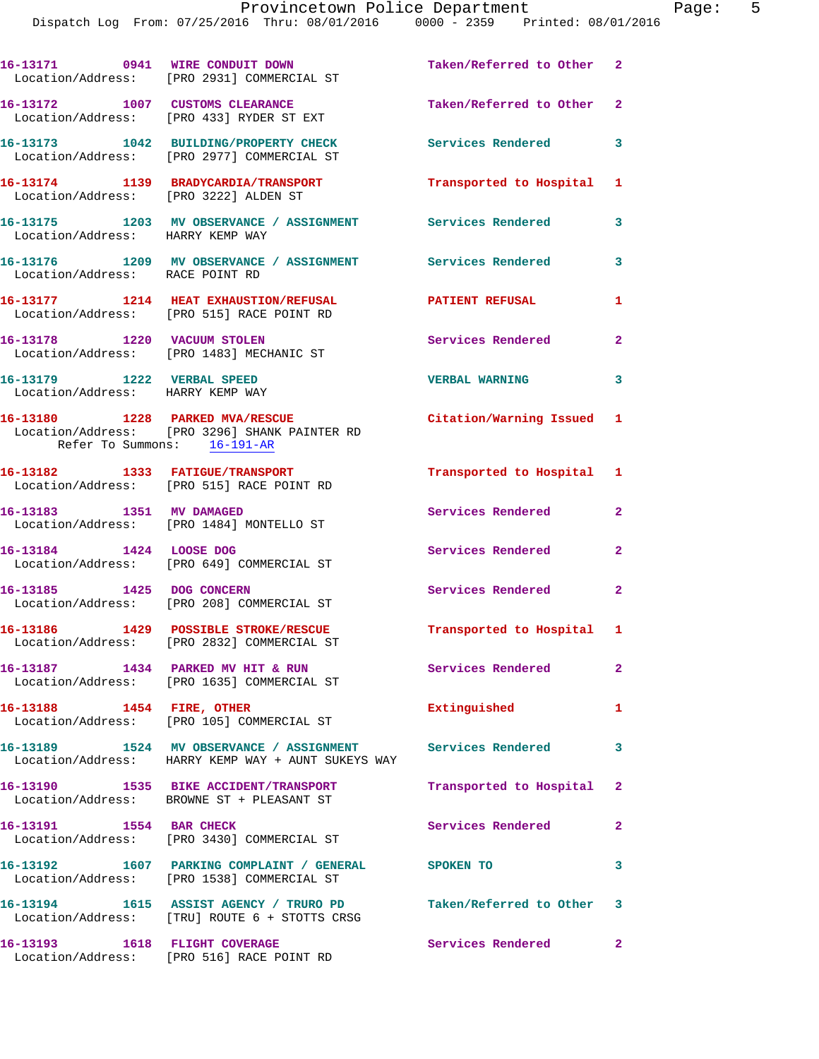|                                                                | 16-13171 0941 WIRE CONDUIT DOWN<br>Location/Address: [PRO 2931] COMMERCIAL ST                                    | Taken/Referred to Other 2  |                         |
|----------------------------------------------------------------|------------------------------------------------------------------------------------------------------------------|----------------------------|-------------------------|
|                                                                | 16-13172 1007 CUSTOMS CLEARANCE<br>Location/Address: [PRO 433] RYDER ST EXT                                      | Taken/Referred to Other 2  |                         |
|                                                                | 16-13173 1042 BUILDING/PROPERTY CHECK<br>Location/Address: [PRO 2977] COMMERCIAL ST                              | <b>Services Rendered</b>   | $\overline{\mathbf{3}}$ |
| Location/Address: [PRO 3222] ALDEN ST                          | 16-13174 1139 BRADYCARDIA/TRANSPORT                                                                              | Transported to Hospital 1  |                         |
| Location/Address: HARRY KEMP WAY                               | 16-13175 1203 MV OBSERVANCE / ASSIGNMENT Services Rendered                                                       |                            | 3                       |
| Location/Address: RACE POINT RD                                | 16-13176 1209 MV OBSERVANCE / ASSIGNMENT Services Rendered                                                       |                            | 3                       |
|                                                                | 16-13177 1214 HEAT EXHAUSTION/REFUSAL<br>Location/Address: [PRO 515] RACE POINT RD                               | <b>PATIENT REFUSAL</b>     | 1                       |
|                                                                | 16-13178 1220 VACUUM STOLEN<br>Location/Address: [PRO 1483] MECHANIC ST                                          | Services Rendered          | $\mathbf{2}$            |
| 16-13179 1222 VERBAL SPEED<br>Location/Address: HARRY KEMP WAY |                                                                                                                  | <b>VERBAL WARNING</b>      | 3                       |
| Refer To Summons: 16-191-AR                                    | 16-13180 1228 PARKED MVA/RESCUE<br>Location/Address: [PRO 3296] SHANK PAINTER RD                                 | Citation/Warning Issued 1  |                         |
|                                                                | 16-13182 1333 FATIGUE/TRANSPORT<br>Location/Address: [PRO 515] RACE POINT RD                                     | Transported to Hospital 1  |                         |
| 16-13183 1351 MV DAMAGED                                       | Location/Address: [PRO 1484] MONTELLO ST                                                                         | Services Rendered          | $\overline{2}$          |
| 16-13184 1424 LOOSE DOG                                        | Location/Address: [PRO 649] COMMERCIAL ST                                                                        | Services Rendered          | $\mathbf{2}$            |
| 16-13185 1425 DOG CONCERN                                      | Location/Address: [PRO 208] COMMERCIAL ST                                                                        | Services Rendered          | $\mathbf{2}$            |
|                                                                | 16-13186 1429 POSSIBLE STROKE/RESCUE Transported to Hospital 1<br>Location/Address: [PRO 2832] COMMERCIAL ST     |                            |                         |
|                                                                | 16-13187 1434 PARKED MV HIT & RUN<br>Location/Address: [PRO 1635] COMMERCIAL ST                                  | <b>Services Rendered</b> 2 |                         |
| 16-13188 1454 FIRE, OTHER                                      | Location/Address: [PRO 105] COMMERCIAL ST                                                                        | Extinguished               | 1                       |
|                                                                | 16-13189 1524 MV OBSERVANCE / ASSIGNMENT Services Rendered<br>Location/Address: HARRY KEMP WAY + AUNT SUKEYS WAY |                            | $\mathbf{3}$            |
|                                                                | 16-13190 1535 BIKE ACCIDENT/TRANSPORT<br>Location/Address: BROWNE ST + PLEASANT ST                               | Transported to Hospital 2  |                         |
| 16-13191 1554 BAR CHECK                                        | Location/Address: [PRO 3430] COMMERCIAL ST                                                                       | Services Rendered          | $\mathbf{2}$            |
|                                                                | 16-13192 1607 PARKING COMPLAINT / GENERAL SPOKEN TO<br>Location/Address: [PRO 1538] COMMERCIAL ST                |                            | 3                       |
|                                                                | 16-13194 1615 ASSIST AGENCY / TRURO PD<br>Location/Address: [TRU] ROUTE 6 + STOTTS CRSG                          | Taken/Referred to Other 3  |                         |
|                                                                | 16-13193 1618 FLIGHT COVERAGE<br>Location/Address: [PRO 516] RACE POINT RD                                       | Services Rendered 2        |                         |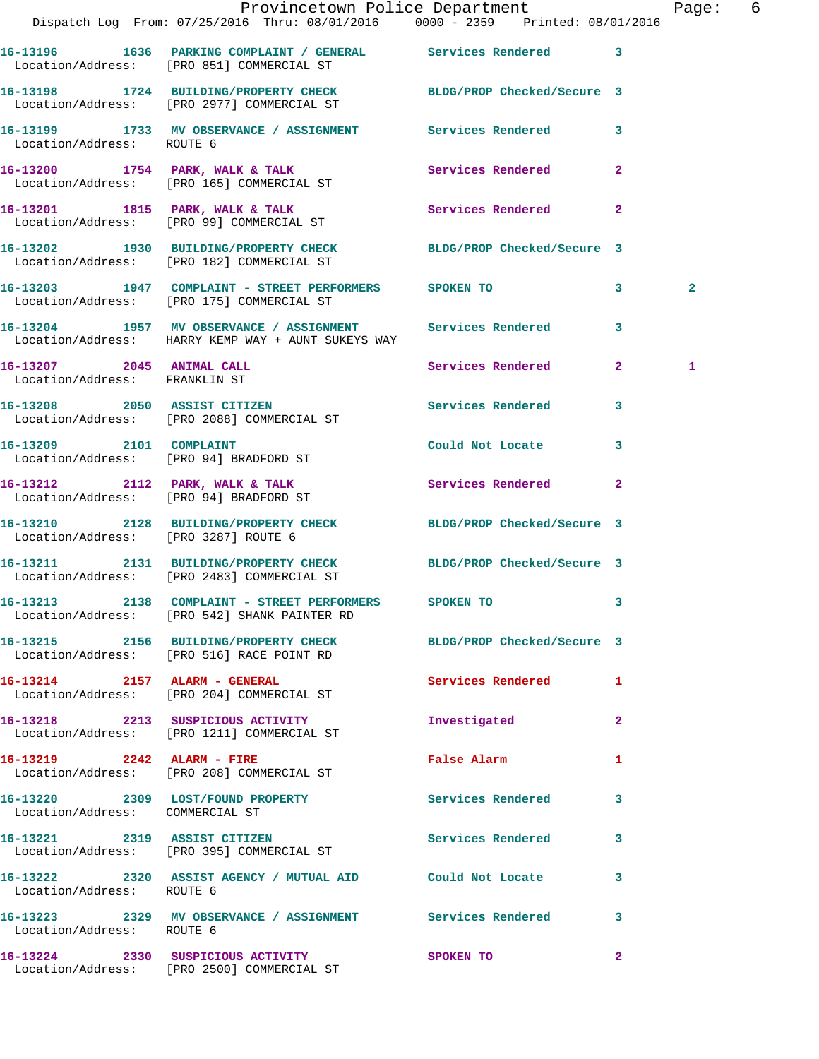|                                        | Dispatch Log From: 07/25/2016 Thru: 08/01/2016   0000 - 2359   Printed: 08/01/2016                               | Provincetown Police Department The Rage: 6 |                |                |  |
|----------------------------------------|------------------------------------------------------------------------------------------------------------------|--------------------------------------------|----------------|----------------|--|
|                                        | 16-13196 1636 PARKING COMPLAINT / GENERAL Services Rendered 3<br>Location/Address: [PRO 851] COMMERCIAL ST       |                                            |                |                |  |
|                                        | 16-13198 1724 BUILDING/PROPERTY CHECK BLDG/PROP Checked/Secure 3<br>Location/Address: [PRO 2977] COMMERCIAL ST   |                                            |                |                |  |
| Location/Address: ROUTE 6              | 16-13199 1733 MV OBSERVANCE / ASSIGNMENT Services Rendered                                                       |                                            | $\mathbf{3}$   |                |  |
|                                        | 16-13200 1754 PARK, WALK & TALK Services Rendered<br>Location/Address: [PRO 165] COMMERCIAL ST                   |                                            | $\mathbf{2}$   |                |  |
|                                        | 16-13201 1815 PARK, WALK & TALK<br>Location/Address: [PRO 99] COMMERCIAL ST                                      | Services Rendered                          | $\mathbf{2}$   |                |  |
|                                        | 16-13202 1930 BUILDING/PROPERTY CHECK BLDG/PROP Checked/Secure 3<br>Location/Address: [PRO 182] COMMERCIAL ST    |                                            |                |                |  |
|                                        | 16-13203 1947 COMPLAINT - STREET PERFORMERS SPOKEN TO<br>Location/Address: [PRO 175] COMMERCIAL ST               |                                            | $3^{\circ}$    | $\overline{a}$ |  |
|                                        | 16-13204 1957 MV OBSERVANCE / ASSIGNMENT Services Rendered<br>Location/Address: HARRY KEMP WAY + AUNT SUKEYS WAY |                                            | 3              |                |  |
| Location/Address: FRANKLIN ST          | 16-13207 2045 ANIMAL CALL                                                                                        | Services Rendered 2                        |                | 1              |  |
|                                        | 16-13208 2050 ASSIST CITIZEN<br>Location/Address: [PRO 2088] COMMERCIAL ST                                       | <b>Services Rendered</b>                   | 3              |                |  |
| 16-13209 2101 COMPLAINT                | Location/Address: [PRO 94] BRADFORD ST                                                                           | Could Not Locate                           | 3              |                |  |
| Location/Address: [PRO 94] BRADFORD ST | 16-13212 2112 PARK, WALK & TALK 2008 Services Rendered                                                           |                                            | $\overline{2}$ |                |  |
| Location/Address: [PRO 3287] ROUTE 6   | 16-13210 2128 BUILDING/PROPERTY CHECK BLDG/PROP Checked/Secure 3                                                 |                                            |                |                |  |
|                                        | 16-13211 2131 BUILDING/PROPERTY CHECK BLDG/PROP Checked/Secure 3<br>Location/Address: [PRO 2483] COMMERCIAL ST   |                                            |                |                |  |
|                                        | 16-13213 2138 COMPLAINT - STREET PERFORMERS<br>Location/Address: [PRO 542] SHANK PAINTER RD                      | <b>SPOKEN TO</b>                           |                |                |  |
|                                        | 16-13215 2156 BUILDING/PROPERTY CHECK BLDG/PROP Checked/Secure 3<br>Location/Address: [PRO 516] RACE POINT RD    |                                            |                |                |  |
|                                        | 16-13214 2157 ALARM - GENERAL<br>Location/Address: [PRO 204] COMMERCIAL ST                                       | Services Rendered 1                        |                |                |  |
|                                        | 16-13218 2213 SUSPICIOUS ACTIVITY<br>Location/Address: [PRO 1211] COMMERCIAL ST                                  | Investigated                               | $\overline{2}$ |                |  |
|                                        | 16-13219 2242 ALARM - FIRE<br>Location/Address: [PRO 208] COMMERCIAL ST                                          | False Alarm                                | 1              |                |  |
| Location/Address: COMMERCIAL ST        | 16-13220 2309 LOST/FOUND PROPERTY                                                                                | Services Rendered                          | 3              |                |  |
|                                        | 16-13221 2319 ASSIST CITIZEN<br>Location/Address: [PRO 395] COMMERCIAL ST                                        | <b>Services Rendered</b>                   | 3              |                |  |
| Location/Address: ROUTE 6              | 16-13222 2320 ASSIST AGENCY / MUTUAL AID Could Not Locate                                                        |                                            | 3              |                |  |
| Location/Address: ROUTE 6              | 16-13223 2329 MV OBSERVANCE / ASSIGNMENT Services Rendered                                                       |                                            | 3              |                |  |
|                                        | 16-13224 2330 SUSPICIOUS ACTIVITY<br>Location/Address: [PRO 2500] COMMERCIAL ST                                  | SPOKEN TO                                  | $\overline{2}$ |                |  |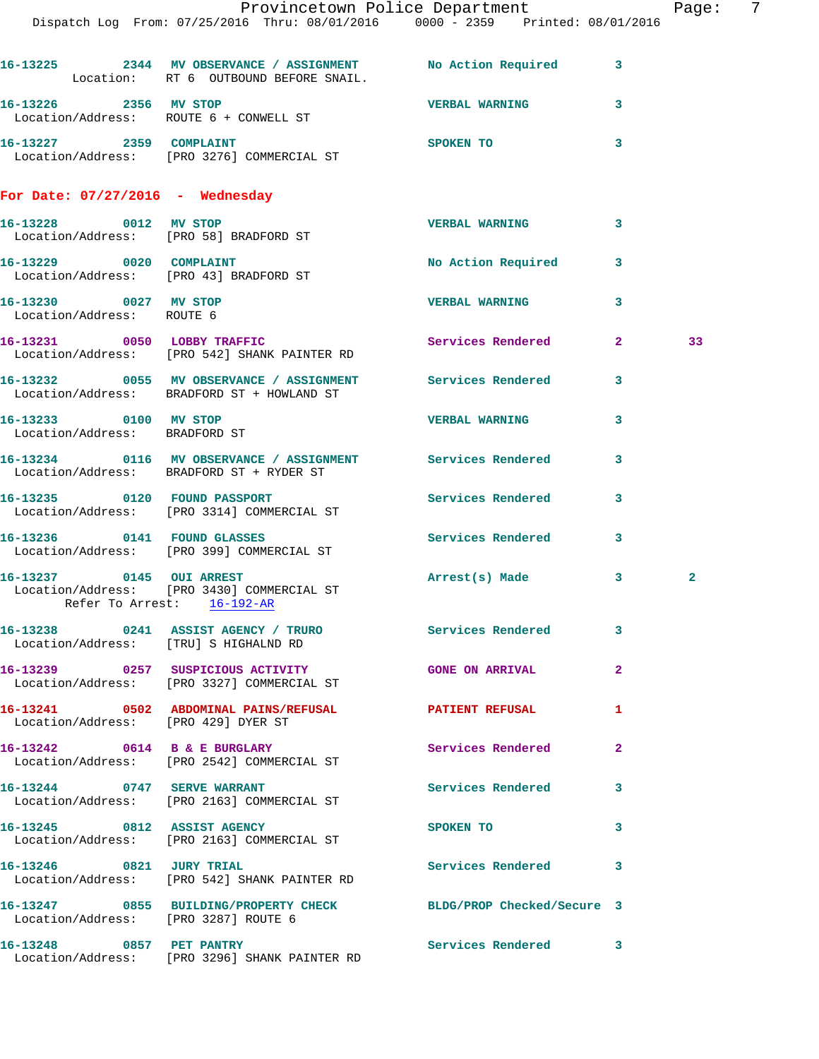|                                                        | Dispatch Log From: 07/25/2016 Thru: 08/01/2016 0000 - 2359 Printed: 08/01/2016                             | Provincetown Police Department Page: 7 |              |              |  |
|--------------------------------------------------------|------------------------------------------------------------------------------------------------------------|----------------------------------------|--------------|--------------|--|
|                                                        | 16-13225 2344 MV OBSERVANCE / ASSIGNMENT No Action Required 3<br>Location: RT 6 OUTBOUND BEFORE SNAIL.     |                                        |              |              |  |
|                                                        | 16-13226 2356 MV STOP<br>Location/Address: ROUTE 6 + CONWELL ST                                            | <b>VERBAL WARNING</b>                  | $\mathbf{3}$ |              |  |
|                                                        | 16-13227 2359 COMPLAINT<br>Location/Address: [PRO 3276] COMMERCIAL ST                                      | <b>SPOKEN TO</b>                       | 3            |              |  |
| For Date: $07/27/2016$ - Wednesday                     |                                                                                                            |                                        |              |              |  |
|                                                        | 16-13228 0012 MV STOP<br>Location/Address: [PRO 58] BRADFORD ST                                            | <b>VERBAL WARNING</b>                  | $\mathbf{3}$ |              |  |
| Location/Address: [PRO 43] BRADFORD ST                 | 16-13229 0020 COMPLAINT                                                                                    | No Action Required 3                   |              |              |  |
| 16-13230 0027 MV STOP<br>Location/Address: ROUTE 6     |                                                                                                            | <b>VERBAL WARNING 3</b>                |              |              |  |
|                                                        | 16-13231 0050 LOBBY TRAFFIC<br>Location/Address: [PRO 542] SHANK PAINTER RD                                | Services Rendered 2                    |              | 33           |  |
|                                                        | 16-13232 0055 MV OBSERVANCE / ASSIGNMENT Services Rendered 3<br>Location/Address: BRADFORD ST + HOWLAND ST |                                        |              |              |  |
| 16-13233 0100 MV STOP<br>Location/Address: BRADFORD ST |                                                                                                            | <b>VERBAL WARNING</b>                  | 3            |              |  |
|                                                        | 16-13234 0116 MV OBSERVANCE / ASSIGNMENT Services Rendered 3<br>Location/Address: BRADFORD ST + RYDER ST   |                                        |              |              |  |
|                                                        | 16-13235 0120 FOUND PASSPORT<br>Location/Address: [PRO 3314] COMMERCIAL ST                                 | Services Rendered 3                    |              |              |  |
|                                                        | 16-13236 0141 FOUND GLASSES<br>Location/Address: [PRO 399] COMMERCIAL ST                                   | Services Rendered                      | $\mathbf{3}$ |              |  |
|                                                        | 16-13237 0145 OUI ARREST<br>Location/Address: [PRO 3430] COMMERCIAL ST<br>Refer To Arrest: 16-192-AR       | Arrest(s) Made                         | 3            | $\mathbf{2}$ |  |
|                                                        | 16-13238 0241 ASSIST AGENCY / TRURO Services Rendered 3<br>Location/Address: [TRU] S HIGHALND RD           |                                        |              |              |  |
|                                                        | 16-13239 0257 SUSPICIOUS ACTIVITY THE GONE ON ARRIVAL<br>Location/Address: [PRO 3327] COMMERCIAL ST        |                                        | $\mathbf{2}$ |              |  |
| Location/Address: [PRO 429] DYER ST                    | 16-13241 0502 ABDOMINAL PAINS/REFUSAL PATIENT REFUSAL                                                      |                                        | $\mathbf{1}$ |              |  |
|                                                        | 16-13242 0614 B & E BURGLARY<br>Location/Address: [PRO 2542] COMMERCIAL ST                                 | Services Rendered                      | $\mathbf{2}$ |              |  |
| 16-13244 0747 SERVE WARRANT                            | Location/Address: [PRO 2163] COMMERCIAL ST                                                                 | Services Rendered 3                    |              |              |  |
|                                                        | 16-13245 0812 ASSIST AGENCY<br>Location/Address: [PRO 2163] COMMERCIAL ST                                  | SPOKEN TO                              | 3            |              |  |
|                                                        | 16-13246 0821 JURY TRIAL<br>Location/Address: [PRO 542] SHANK PAINTER RD                                   | Services Rendered                      | 3            |              |  |
| Location/Address: [PRO 3287] ROUTE 6                   | 16-13247 0855 BUILDING/PROPERTY CHECK BLDG/PROP Checked/Secure 3                                           |                                        |              |              |  |
| 16-13248 0857 PET PANTRY                               | Location/Address: [PRO 3296] SHANK PAINTER RD                                                              | Services Rendered 3                    |              |              |  |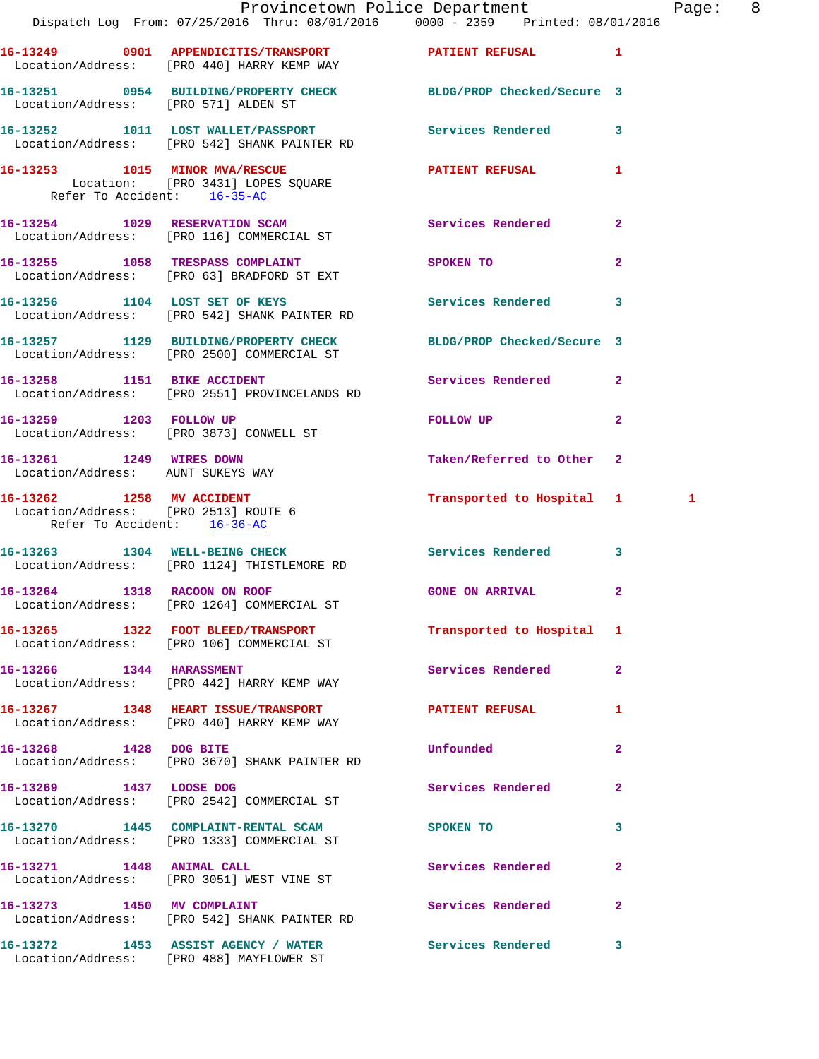|                                                                                                  | Dispatch Log From: 07/25/2016 Thru: 08/01/2016 0000 - 2359 Printed: 08/01/2016                                    | Provincetown Police Department |                | Pag |
|--------------------------------------------------------------------------------------------------|-------------------------------------------------------------------------------------------------------------------|--------------------------------|----------------|-----|
|                                                                                                  | 16-13249 0901 APPENDICITIS/TRANSPORT PATIENT REFUSAL                                                              |                                | 1              |     |
|                                                                                                  | Location/Address: [PRO 440] HARRY KEMP WAY                                                                        |                                |                |     |
| Location/Address: [PRO 571] ALDEN ST                                                             | 16-13251 0954 BUILDING/PROPERTY CHECK BLDG/PROP Checked/Secure 3                                                  |                                |                |     |
|                                                                                                  | 16-13252 1011 LOST WALLET/PASSPORT Services Rendered<br>Location/Address: [PRO 542] SHANK PAINTER RD              |                                | 3              |     |
| Refer To Accident: 16-35-AC                                                                      | 16-13253 1015 MINOR MVA/RESCUE<br>Location: [PRO 3431] LOPES SOUARE                                               | PATIENT REFUSAL                | 1              |     |
|                                                                                                  | 16-13254 1029 RESERVATION SCAM<br>Location/Address: [PRO 116] COMMERCIAL ST                                       | Services Rendered              | $\overline{a}$ |     |
|                                                                                                  | 16-13255 1058 TRESPASS COMPLAINT<br>Location/Address: [PRO 63] BRADFORD ST EXT                                    | <b>SPOKEN TO</b>               | $\overline{2}$ |     |
|                                                                                                  | 16-13256 1104 LOST SET OF KEYS<br>Location/Address: [PRO 542] SHANK PAINTER RD                                    | Services Rendered              | 3              |     |
|                                                                                                  | 16-13257 1129 BUILDING/PROPERTY CHECK BLDG/PROP Checked/Secure 3<br>Location/Address: [PRO 2500] COMMERCIAL ST    |                                |                |     |
| 16-13258 1151 BIKE ACCIDENT                                                                      | Location/Address: [PRO 2551] PROVINCELANDS RD                                                                     | Services Rendered              | $\overline{a}$ |     |
| 16-13259 1203 FOLLOW UP                                                                          | Location/Address: [PRO 3873] CONWELL ST                                                                           | FOLLOW UP                      | $\overline{a}$ |     |
| 16-13261 1249 WIRES DOWN<br>Location/Address: AUNT SUKEYS WAY                                    |                                                                                                                   | Taken/Referred to Other        | $\mathbf{2}$   |     |
| 16-13262 1258 MV ACCIDENT<br>Location/Address: [PRO 2513] ROUTE 6<br>Refer To Accident: 16-36-AC |                                                                                                                   | Transported to Hospital 1 1    |                |     |
|                                                                                                  | 16-13263 1304 WELL-BEING CHECK<br>Location/Address: [PRO 1124] THISTLEMORE RD                                     | <b>Services Rendered</b>       | 3              |     |
| 16-13264 1318 RACOON ON ROOF                                                                     | Location/Address: [PRO 1264] COMMERCIAL ST                                                                        | GONE ON ARRIVAL                | $\overline{2}$ |     |
|                                                                                                  | 16-13265 1322 FOOT BLEED/TRANSPORT<br>Location/Address: [PRO 106] COMMERCIAL ST                                   | Transported to Hospital 1      |                |     |
|                                                                                                  | 16-13266 1344 HARASSMENT<br>Location/Address: [PRO 442] HARRY KEMP WAY                                            | <b>Services Rendered</b>       | $\overline{2}$ |     |
|                                                                                                  | 16-13267 1348 HEART ISSUE/TRANSPORT <b>16-13267 PATIENT REFUSAL</b><br>Location/Address: [PRO 440] HARRY KEMP WAY |                                | 1              |     |
| 16-13268 1428 DOG BITE                                                                           | Location/Address: [PRO 3670] SHANK PAINTER RD                                                                     | Unfounded                      | $\overline{a}$ |     |
| 16-13269 1437 LOOSE DOG                                                                          | Location/Address: [PRO 2542] COMMERCIAL ST                                                                        | Services Rendered              | $\mathbf{2}$   |     |
|                                                                                                  | 16-13270 1445 COMPLAINT-RENTAL SCAM<br>Location/Address: [PRO 1333] COMMERCIAL ST                                 | SPOKEN TO                      | 3              |     |
| 16-13271 1448 ANIMAL CALL                                                                        | Location/Address: [PRO 3051] WEST VINE ST                                                                         | Services Rendered              | $\mathbf{2}$   |     |
|                                                                                                  | 16-13273 1450 MV COMPLAINT<br>Location/Address: [PRO 542] SHANK PAINTER RD                                        | Services Rendered              | $\mathbf{2}$   |     |
|                                                                                                  | 16-13272 1453 ASSIST AGENCY / WATER Services Rendered                                                             |                                | 3              |     |

Location/Address: [PRO 488] MAYFLOWER ST

age: 8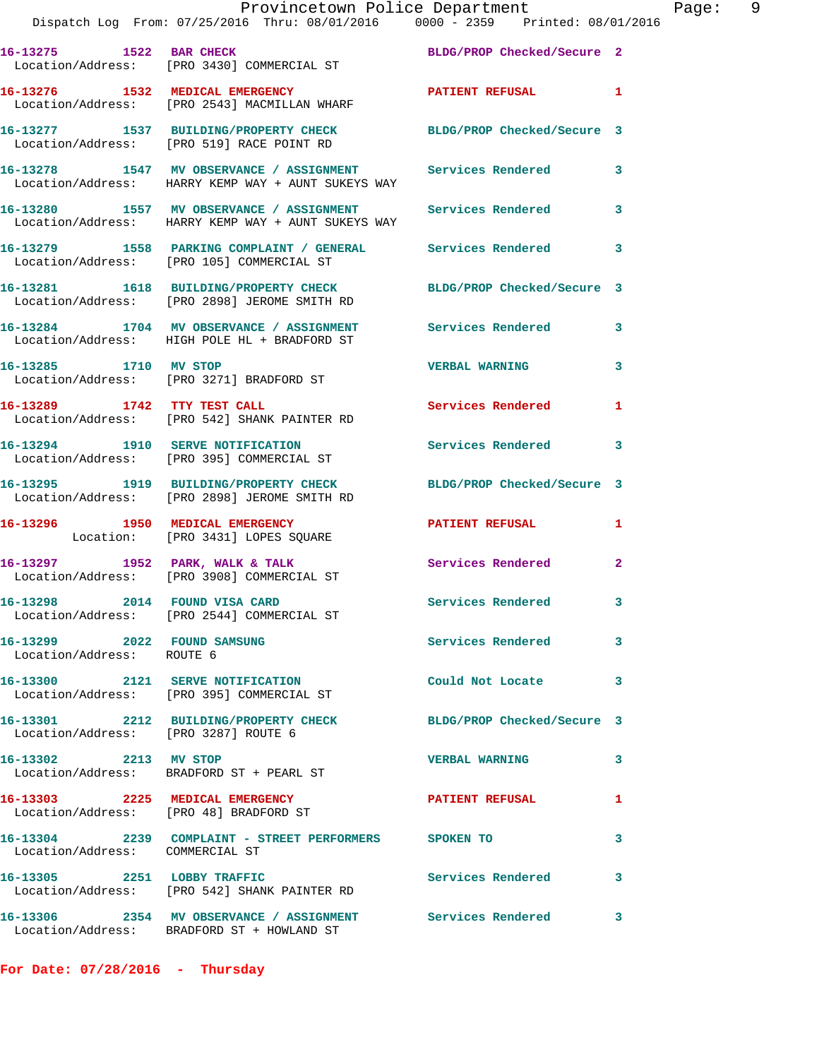## Provincetown Police Department Page: 9 Dispatch Log From: 07/25/2016 Thru: 08/01/2016 0000 - 2359 Printed: 08/01/2016 **16-13275 1522 BAR CHECK BLDG/PROP Checked/Secure 2**

 Location/Address: [PRO 3430] COMMERCIAL ST **16-13276 1532 MEDICAL EMERGENCY 128 PATIENT REFUSAL 1**  Location/Address: [PRO 2543] MACMILLAN WHARF **16-13277 1537 BUILDING/PROPERTY CHECK BLDG/PROP Checked/Secure 3**  Location/Address: [PRO 519] RACE POINT RD **16-13278 1547 MV OBSERVANCE / ASSIGNMENT Services Rendered 3**  Location/Address: HARRY KEMP WAY + AUNT SUKEYS WAY **16-13280 1557 MV OBSERVANCE / ASSIGNMENT Services Rendered 3**  Location/Address: HARRY KEMP WAY + AUNT SUKEYS WAY **16-13279 1558 PARKING COMPLAINT / GENERAL Services Rendered 3**  Location/Address: [PRO 105] COMMERCIAL ST **16-13281 1618 BUILDING/PROPERTY CHECK BLDG/PROP Checked/Secure 3**  Location/Address: [PRO 2898] JEROME SMITH RD **16-13284 1704 MV OBSERVANCE / ASSIGNMENT Services Rendered 3**  Location/Address: HIGH POLE HL + BRADFORD ST **16-13285 1710 MV STOP VERBAL WARNING 3**  Location/Address: [PRO 3271] BRADFORD ST **16-13289 1742 TTY TEST CALL Services Rendered 1**  Location/Address: [PRO 542] SHANK PAINTER RD **16-13294 1910 SERVE NOTIFICATION Services Rendered 3**  Location/Address: [PRO 395] COMMERCIAL ST **16-13295 1919 BUILDING/PROPERTY CHECK BLDG/PROP Checked/Secure 3**  Location/Address: [PRO 2898] JEROME SMITH RD **16-13296 1950 MEDICAL EMERGENCY PATIENT REFUSAL 1**  Location: [PRO 3431] LOPES SQUARE 16-13297 **1952 PARK, WALK & TALK Services Rendered** 2 Location/Address: [PRO 3908] COMMERCIAL ST **16-13298 2014 FOUND VISA CARD Services Rendered 3**  Location/Address: [PRO 2544] COMMERCIAL ST **16-13299 2022 FOUND SAMSUNG Services Rendered 3**  Location/Address: ROUTE 6 **16-13300 2121 SERVE NOTIFICATION Could Not Locate 3**  Location/Address: [PRO 395] COMMERCIAL ST **16-13301 2212 BUILDING/PROPERTY CHECK BLDG/PROP Checked/Secure 3**  Location/Address: [PRO 3287] ROUTE 6 **16-13302 2213 MV STOP VERBAL WARNING 3**  Location/Address: BRADFORD ST + PEARL ST 16-13303 2225 MEDICAL EMERGENCY PATIENT REFUSAL 1 Location/Address: [PRO 48] BRADFORD ST **16-13304 2239 COMPLAINT - STREET PERFORMERS SPOKEN TO 3**  Location/Address: COMMERCIAL ST **16-13305 2251 LOBBY TRAFFIC Services Rendered 3**  Location/Address: [PRO 542] SHANK PAINTER RD **16-13306 2354 MV OBSERVANCE / ASSIGNMENT Services Rendered 3**  Location/Address: BRADFORD ST + HOWLAND ST

**For Date: 07/28/2016 - Thursday**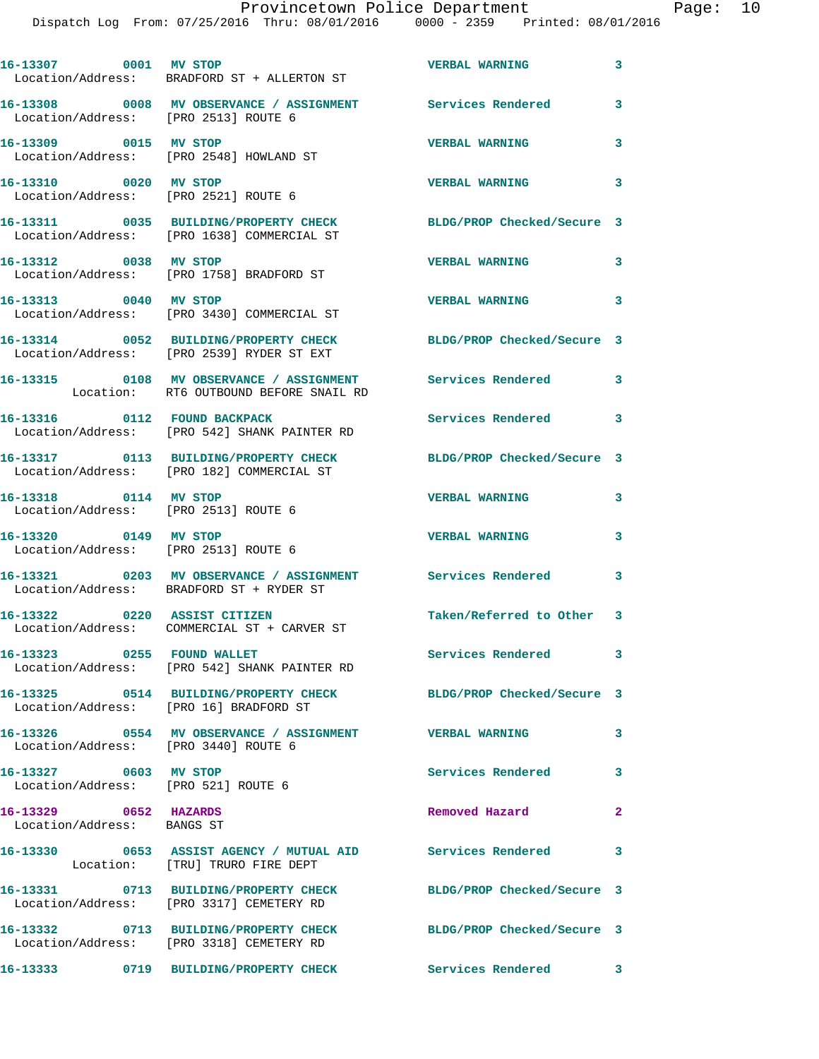| 16-13307 0001 MV STOP                                         | Location/Address: BRADFORD ST + ALLERTON ST                                                            | <b>VERBAL WARNING</b>      | 3              |
|---------------------------------------------------------------|--------------------------------------------------------------------------------------------------------|----------------------------|----------------|
| Location/Address: [PRO 2513] ROUTE 6                          |                                                                                                        |                            | 3              |
| 16-13309 0015 MV STOP                                         | Location/Address: [PRO 2548] HOWLAND ST                                                                | <b>VERBAL WARNING</b>      | 3              |
| 16-13310 0020 MV STOP                                         | Location/Address: [PRO 2521] ROUTE 6                                                                   | <b>VERBAL WARNING</b>      | 3              |
|                                                               | 16-13311 0035 BUILDING/PROPERTY CHECK<br>Location/Address: [PRO 1638] COMMERCIAL ST                    | BLDG/PROP Checked/Secure 3 |                |
| 16-13312 0038 MV STOP                                         | Location/Address: [PRO 1758] BRADFORD ST                                                               | <b>VERBAL WARNING</b>      | 3              |
| 16-13313 0040 MV STOP                                         | Location/Address: [PRO 3430] COMMERCIAL ST                                                             | <b>VERBAL WARNING</b>      | 3              |
|                                                               | 16-13314 0052 BUILDING/PROPERTY CHECK<br>Location/Address: [PRO 2539] RYDER ST EXT                     | BLDG/PROP Checked/Secure 3 |                |
|                                                               | 16-13315 0108 MV OBSERVANCE / ASSIGNMENT Services Rendered<br>Location: RT6 OUTBOUND BEFORE SNAIL RD   |                            | 3              |
| 16-13316 0112 FOUND BACKPACK                                  | Location/Address: [PRO 542] SHANK PAINTER RD                                                           | Services Rendered 3        |                |
|                                                               | 16-13317 0113 BUILDING/PROPERTY CHECK<br>Location/Address: [PRO 182] COMMERCIAL ST                     | BLDG/PROP Checked/Secure 3 |                |
| 16-13318 0114 MV STOP<br>Location/Address: [PRO 2513] ROUTE 6 |                                                                                                        | <b>VERBAL WARNING</b>      | 3              |
| 16-13320 0149 MV STOP<br>Location/Address: [PRO 2513] ROUTE 6 |                                                                                                        | <b>VERBAL WARNING</b>      | 3              |
|                                                               | 16-13321 0203 MV OBSERVANCE / ASSIGNMENT Services Rendered<br>Location/Address: BRADFORD ST + RYDER ST |                            | 3              |
|                                                               | 16-13322 0220 ASSIST CITIZEN<br>Location/Address: COMMERCIAL ST + CARVER ST                            | Taken/Referred to Other 3  |                |
| 16-13323 0255 FOUND WALLET                                    | Location/Address: [PRO 542] SHANK PAINTER RD                                                           | Services Rendered 3        |                |
| Location/Address: [PRO 16] BRADFORD ST                        | 16-13325 0514 BUILDING/PROPERTY CHECK                                                                  | BLDG/PROP Checked/Secure 3 |                |
| Location/Address: [PRO 3440] ROUTE 6                          | 16-13326 0554 MV OBSERVANCE / ASSIGNMENT VERBAL WARNING                                                |                            | 3              |
| 16-13327 0603 MV STOP<br>Location/Address: [PRO 521] ROUTE 6  |                                                                                                        | <b>Services Rendered</b>   | 3              |
| 16-13329 0652 HAZARDS<br>Location/Address: BANGS ST           |                                                                                                        | Removed Hazard             | $\overline{2}$ |
|                                                               | 16-13330 0653 ASSIST AGENCY / MUTUAL AID Services Rendered<br>Location: [TRU] TRURO FIRE DEPT          |                            | 3              |
|                                                               | 16-13331 0713 BUILDING/PROPERTY CHECK<br>Location/Address: [PRO 3317] CEMETERY RD                      | BLDG/PROP Checked/Secure 3 |                |
|                                                               | 16-13332 0713 BUILDING/PROPERTY CHECK<br>Location/Address: [PRO 3318] CEMETERY RD                      | BLDG/PROP Checked/Secure 3 |                |
|                                                               | 16-13333 0719 BUILDING/PROPERTY CHECK                                                                  | Services Rendered 3        |                |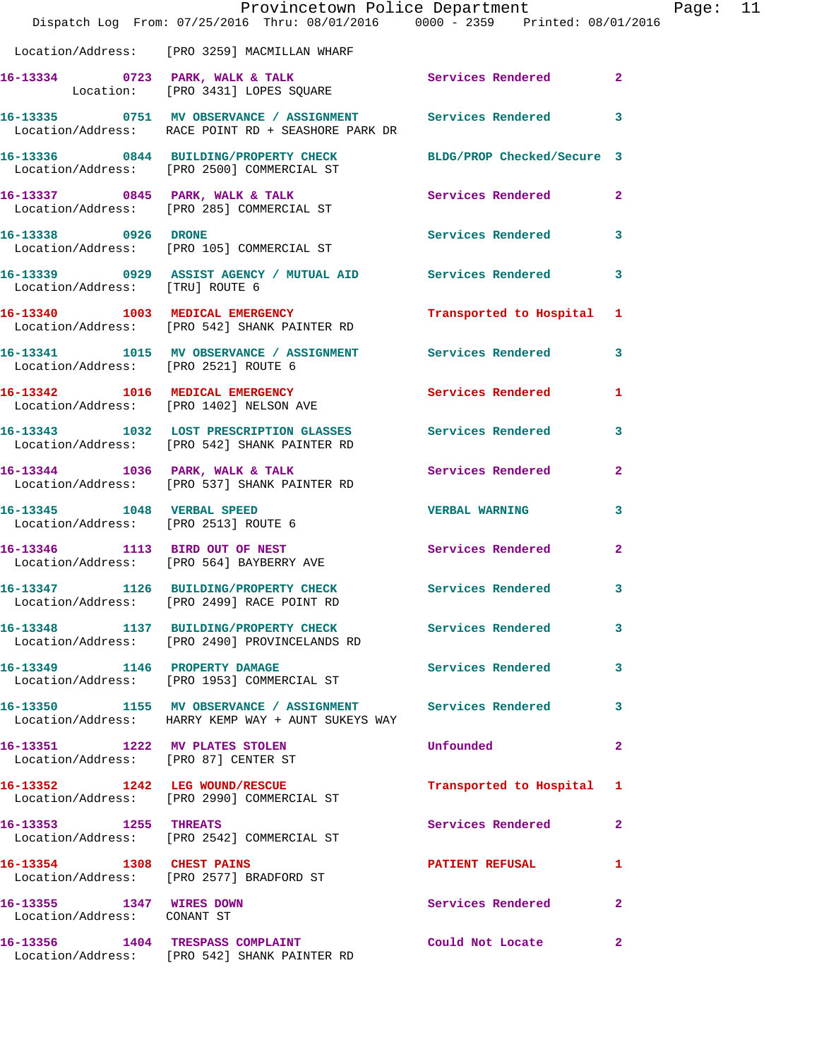|                                                         | Dispatch Log From: 07/25/2016 Thru: 08/01/2016 0000 - 2359 Printed: 08/01/2016                                     | Provincetown Police Department |                         | Page: 11 |  |
|---------------------------------------------------------|--------------------------------------------------------------------------------------------------------------------|--------------------------------|-------------------------|----------|--|
|                                                         | Location/Address: [PRO 3259] MACMILLAN WHARF                                                                       |                                |                         |          |  |
|                                                         | 16-13334 0723 PARK, WALK & TALK 3 Services Rendered 2<br>Location: [PRO 3431] LOPES SQUARE                         |                                |                         |          |  |
|                                                         | 16-13335 0751 MV OBSERVANCE / ASSIGNMENT Services Rendered 3<br>Location/Address: RACE POINT RD + SEASHORE PARK DR |                                |                         |          |  |
|                                                         | 16-13336 0844 BUILDING/PROPERTY CHECK BLDG/PROP Checked/Secure 3<br>Location/Address: [PRO 2500] COMMERCIAL ST     |                                |                         |          |  |
|                                                         | 16-13337 0845 PARK, WALK & TALK Services Rendered 2<br>Location/Address: [PRO 285] COMMERCIAL ST                   |                                |                         |          |  |
|                                                         | 16-13338 0926 DRONE<br>Location/Address: [PRO 105] COMMERCIAL ST                                                   | Services Rendered 3            |                         |          |  |
|                                                         | 16-13339 0929 ASSIST AGENCY / MUTUAL AID Services Rendered<br>Location/Address: [TRU] ROUTE 6                      |                                | $\overline{\mathbf{3}}$ |          |  |
|                                                         | 16-13340 1003 MEDICAL EMERGENCY<br>Location/Address: [PRO 542] SHANK PAINTER RD                                    | Transported to Hospital 1      |                         |          |  |
| Location/Address: [PRO 2521] ROUTE 6                    | 16-13341 1015 MV OBSERVANCE / ASSIGNMENT Services Rendered 3                                                       |                                |                         |          |  |
|                                                         | 16-13342 1016 MEDICAL EMERGENCY<br>Location/Address: [PRO 1402] NELSON AVE                                         | Services Rendered              | $\mathbf{1}$            |          |  |
|                                                         | 16-13343 1032 LOST PRESCRIPTION GLASSES Services Rendered 3<br>Location/Address: [PRO 542] SHANK PAINTER RD        |                                |                         |          |  |
|                                                         | 16-13344 1036 PARK, WALK & TALK Services Rendered<br>Location/Address: [PRO 537] SHANK PAINTER RD                  |                                | $\mathbf{2}$            |          |  |
|                                                         | 16-13345 1048 VERBAL SPEED<br>Location/Address: [PRO 2513] ROUTE 6                                                 | <b>VERBAL WARNING</b>          | $\mathbf{3}$            |          |  |
|                                                         | 16-13346 1113 BIRD OUT OF NEST<br>Location/Address: [PRO 564] BAYBERRY AVE                                         | Services Rendered              | $\mathbf{2}$            |          |  |
|                                                         | 16-13347 1126 BUILDING/PROPERTY CHECK Services Rendered 3<br>Location/Address: [PRO 2499] RACE POINT RD            |                                |                         |          |  |
|                                                         | 16-13348 1137 BUILDING/PROPERTY CHECK Services Rendered<br>Location/Address: [PRO 2490] PROVINCELANDS RD           |                                | 3                       |          |  |
|                                                         | 16-13349 1146 PROPERTY DAMAGE<br>Location/Address: [PRO 1953] COMMERCIAL ST                                        | Services Rendered              | $\mathbf{3}$            |          |  |
|                                                         | 16-13350 1155 MV OBSERVANCE / ASSIGNMENT Services Rendered<br>Location/Address: HARRY KEMP WAY + AUNT SUKEYS WAY   |                                | $\mathbf{3}$            |          |  |
| 16-13351 1222 MV PLATES STOLEN                          | Location/Address: [PRO 87] CENTER ST                                                                               | Unfounded                      | $\mathbf{2}$            |          |  |
|                                                         | 16-13352 1242 LEG WOUND/RESCUE<br>Location/Address: [PRO 2990] COMMERCIAL ST                                       | Transported to Hospital 1      |                         |          |  |
| 16-13353 1255 THREATS                                   | Location/Address: [PRO 2542] COMMERCIAL ST                                                                         | Services Rendered 2            |                         |          |  |
|                                                         | 16-13354 1308 CHEST PAINS<br>Location/Address: [PRO 2577] BRADFORD ST                                              | <b>PATIENT REFUSAL</b>         | $\mathbf{1}$            |          |  |
| 16-13355 1347 WIRES DOWN<br>Location/Address: CONANT ST |                                                                                                                    | Services Rendered 2            |                         |          |  |
|                                                         | 16-13356 1404 TRESPASS COMPLAINT<br>Location/Address: [PRO 542] SHANK PAINTER RD                                   | Could Not Locate               | $\mathbf{2}$            |          |  |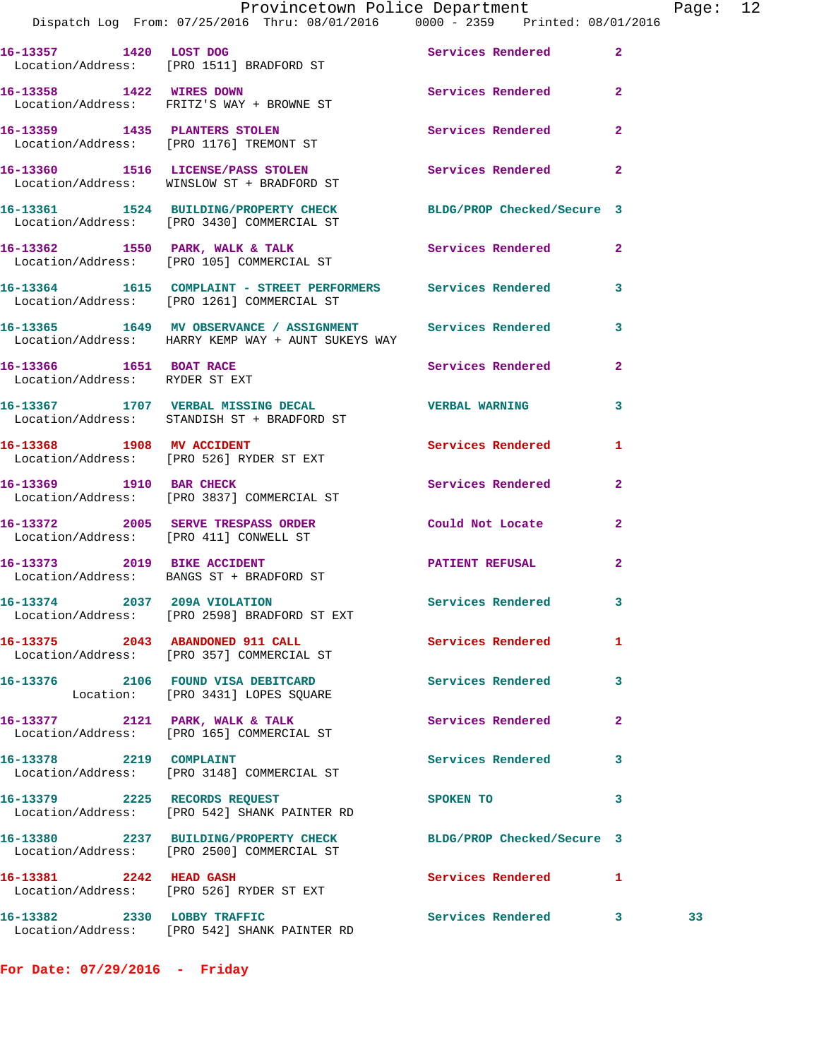|                                | Provincetown Police Department<br>Dispatch Log From: 07/25/2016 Thru: 08/01/2016 0000 - 2359 Printed: 08/01/2016   |                          |              | Page: 12 |  |
|--------------------------------|--------------------------------------------------------------------------------------------------------------------|--------------------------|--------------|----------|--|
|                                | 16-13357 1420 LOST DOG Services Rendered 2<br>Location/Address: [PRO 1511] BRADFORD ST                             |                          |              |          |  |
|                                | 16-13358 1422 WIRES DOWN<br>Location/Address: FRITZ'S WAY + BROWNE ST                                              | Services Rendered 2      |              |          |  |
|                                | 16-13359 1435 PLANTERS STOLEN Services Rendered 2<br>Location/Address: [PRO 1176] TREMONT ST                       |                          |              |          |  |
|                                | 16-13360 1516 LICENSE/PASS STOLEN Services Rendered 2<br>Location/Address: WINSLOW ST + BRADFORD ST                |                          |              |          |  |
|                                | 16-13361 1524 BUILDING/PROPERTY CHECK BLDG/PROP Checked/Secure 3<br>Location/Address: [PRO 3430] COMMERCIAL ST     |                          |              |          |  |
|                                | 16-13362 1550 PARK, WALK & TALK 1999 Services Rendered 2<br>Location/Address: [PRO 105] COMMERCIAL ST              |                          |              |          |  |
|                                | 16-13364 1615 COMPLAINT - STREET PERFORMERS Services Rendered 3<br>Location/Address: [PRO 1261] COMMERCIAL ST      |                          |              |          |  |
|                                | 16-13365 1649 MV OBSERVANCE / ASSIGNMENT Services Rendered 3<br>Location/Address: HARRY KEMP WAY + AUNT SUKEYS WAY |                          |              |          |  |
| Location/Address: RYDER ST EXT | 16-13366 1651 BOAT RACE                                                                                            | Services Rendered 2      |              |          |  |
|                                | 16-13367 1707 VERBAL MISSING DECAL TERRAL WARNING<br>Location/Address: STANDISH ST + BRADFORD ST                   |                          | 3            |          |  |
|                                | 16-13368 1908 MV ACCIDENT<br>Location/Address: [PRO 526] RYDER ST EXT                                              | Services Rendered 1      |              |          |  |
|                                | 16-13369 1910 BAR CHECK<br>Location/Address: [PRO 3837] COMMERCIAL ST                                              | Services Rendered        | $\mathbf{2}$ |          |  |
|                                | 16-13372 2005 SERVE TRESPASS ORDER<br>Location/Address: [PRO 411] CONWELL ST                                       | Could Not Locate 2       |              |          |  |
|                                | 16-13373 2019 BIKE ACCIDENT<br>Location/Address: BANGS ST + BRADFORD ST                                            | PATIENT REFUSAL          | $\mathbf{2}$ |          |  |
| 16-13374 2037 209A VIOLATION   | Location/Address: [PRO 2598] BRADFORD ST EXT                                                                       | Services Rendered        | 3            |          |  |
|                                | 16-13375 2043 ABANDONED 911 CALL<br>Location/Address: [PRO 357] COMMERCIAL ST                                      | Services Rendered 1      |              |          |  |
|                                | 16-13376 2106 FOUND VISA DEBITCARD<br>Location: [PRO 3431] LOPES SQUARE                                            | <b>Services Rendered</b> | 3            |          |  |
|                                | 16-13377 2121 PARK, WALK & TALK<br>Location/Address: [PRO 165] COMMERCIAL ST                                       | Services Rendered        | $\mathbf{2}$ |          |  |
|                                | 16-13378 2219 COMPLAINT<br>Location/Address: [PRO 3148] COMMERCIAL ST                                              | Services Rendered        | 3            |          |  |
|                                | 16-13379 2225 RECORDS REQUEST<br>Location/Address: [PRO 542] SHANK PAINTER RD                                      | SPOKEN TO                | 3            |          |  |
|                                | 16-13380 2237 BUILDING/PROPERTY CHECK BLDG/PROP Checked/Secure 3<br>Location/Address: [PRO 2500] COMMERCIAL ST     |                          |              |          |  |
| 16-13381 2242 HEAD GASH        | Location/Address: [PRO 526] RYDER ST EXT                                                                           | Services Rendered 1      |              |          |  |
|                                | 16-13382 2330 LOBBY TRAFFIC<br>Location/Address: [PRO 542] SHANK PAINTER RD                                        | Services Rendered 3      |              | 33       |  |

**For Date: 07/29/2016 - Friday**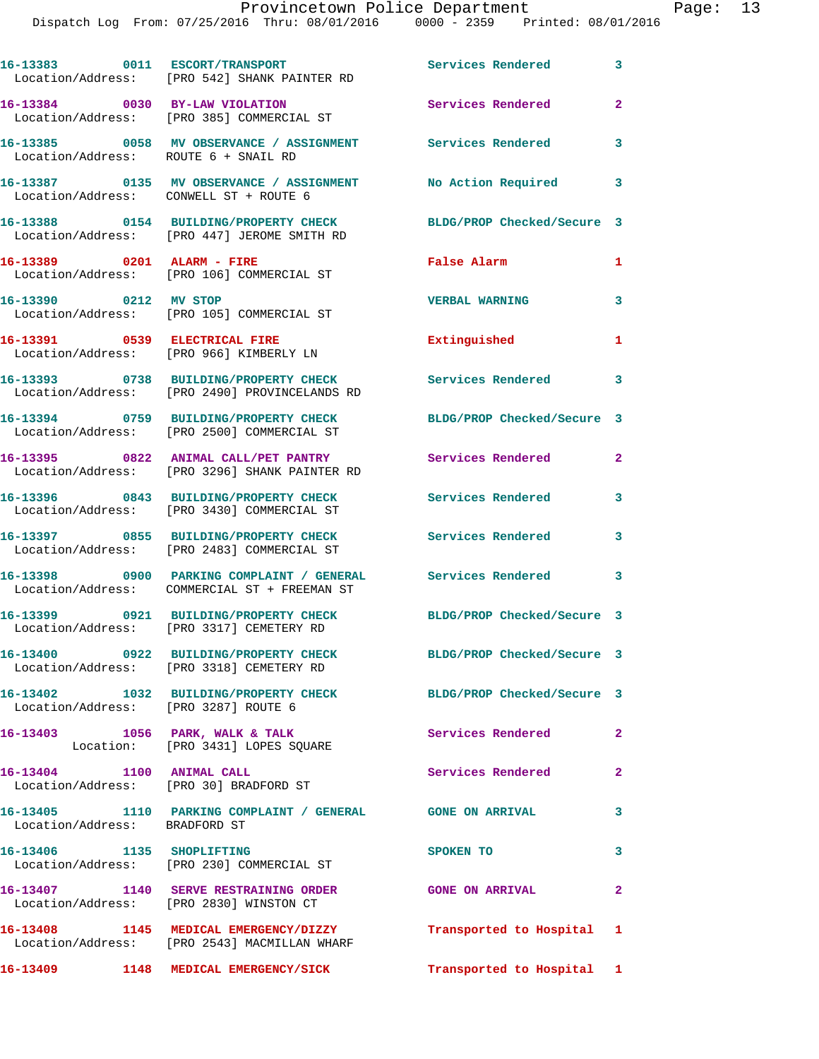|                                      | 16-13383 0011 ESCORT/TRANSPORT<br>Location/Address: [PRO 542] SHANK PAINTER RD            | Services Rendered          | $\mathbf{3}$ |
|--------------------------------------|-------------------------------------------------------------------------------------------|----------------------------|--------------|
|                                      | 16-13384 0030 BY-LAW VIOLATION<br>Location/Address: [PRO 385] COMMERCIAL ST               | Services Rendered          | $\mathbf{2}$ |
| Location/Address: ROUTE 6 + SNAIL RD | 16-13385 0058 MV OBSERVANCE / ASSIGNMENT Services Rendered                                |                            | 3            |
|                                      | 16-13387 0135 MV OBSERVANCE / ASSIGNMENT<br>Location/Address: CONWELL ST + ROUTE 6        | No Action Required         | 3            |
|                                      | 16-13388 0154 BUILDING/PROPERTY CHECK<br>Location/Address: [PRO 447] JEROME SMITH RD      | BLDG/PROP Checked/Secure 3 |              |
|                                      | 16-13389 0201 ALARM - FIRE<br>Location/Address: [PRO 106] COMMERCIAL ST                   | False Alarm                | 1            |
| 16-13390 0212 MV STOP                | Location/Address: [PRO 105] COMMERCIAL ST                                                 | <b>VERBAL WARNING</b>      | 3            |
|                                      | 16-13391 0539 ELECTRICAL FIRE<br>Location/Address: [PRO 966] KIMBERLY LN                  | Extinguished               | 1            |
|                                      | 16-13393 0738 BUILDING/PROPERTY CHECK<br>Location/Address: [PRO 2490] PROVINCELANDS RD    | Services Rendered 3        |              |
|                                      | 16-13394 0759 BUILDING/PROPERTY CHECK<br>Location/Address: [PRO 2500] COMMERCIAL ST       | BLDG/PROP Checked/Secure 3 |              |
|                                      | 16-13395 0822 ANIMAL CALL/PET PANTRY<br>Location/Address: [PRO 3296] SHANK PAINTER RD     | Services Rendered          | $\mathbf{2}$ |
|                                      | 16-13396 0843 BUILDING/PROPERTY CHECK<br>Location/Address: [PRO 3430] COMMERCIAL ST       | Services Rendered          | 3            |
|                                      | 16-13397 0855 BUILDING/PROPERTY CHECK<br>Location/Address: [PRO 2483] COMMERCIAL ST       | Services Rendered          | 3            |
|                                      | 16-13398 0900 PARKING COMPLAINT / GENERAL<br>Location/Address: COMMERCIAL ST + FREEMAN ST | <b>Services Rendered</b> 3 |              |
|                                      | 16-13399 0921 BUILDING/PROPERTY CHECK<br>Location/Address: [PRO 3317] CEMETERY RD         | BLDG/PROP Checked/Secure 3 |              |
|                                      | 16-13400 0922 BUILDING/PROPERTY CHECK<br>Location/Address: [PRO 3318] CEMETERY RD         | BLDG/PROP Checked/Secure 3 |              |
| Location/Address: [PRO 3287] ROUTE 6 | 16-13402 1032 BUILDING/PROPERTY CHECK BLDG/PROP Checked/Secure 3                          |                            |              |
|                                      | 16-13403 1056 PARK, WALK & TALK<br>Location: [PRO 3431] LOPES SQUARE                      | Services Rendered          | $\mathbf{2}$ |
| 16-13404 1100 ANIMAL CALL            | Location/Address: [PRO 30] BRADFORD ST                                                    | Services Rendered          | $\mathbf{2}$ |
| Location/Address: BRADFORD ST        | 16-13405 1110 PARKING COMPLAINT / GENERAL GONE ON ARRIVAL                                 |                            | 3            |
| 16-13406 1135 SHOPLIFTING            | Location/Address: [PRO 230] COMMERCIAL ST                                                 | SPOKEN TO                  | 3            |
|                                      | 16-13407 1140 SERVE RESTRAINING ORDER<br>Location/Address: [PRO 2830] WINSTON CT          | <b>GONE ON ARRIVAL</b>     | $\mathbf{2}$ |
|                                      | 16-13408 1145 MEDICAL EMERGENCY/DIZZY<br>Location/Address: [PRO 2543] MACMILLAN WHARF     | Transported to Hospital 1  |              |
|                                      | 16-13409 1148 MEDICAL EMERGENCY/SICK                                                      | Transported to Hospital 1  |              |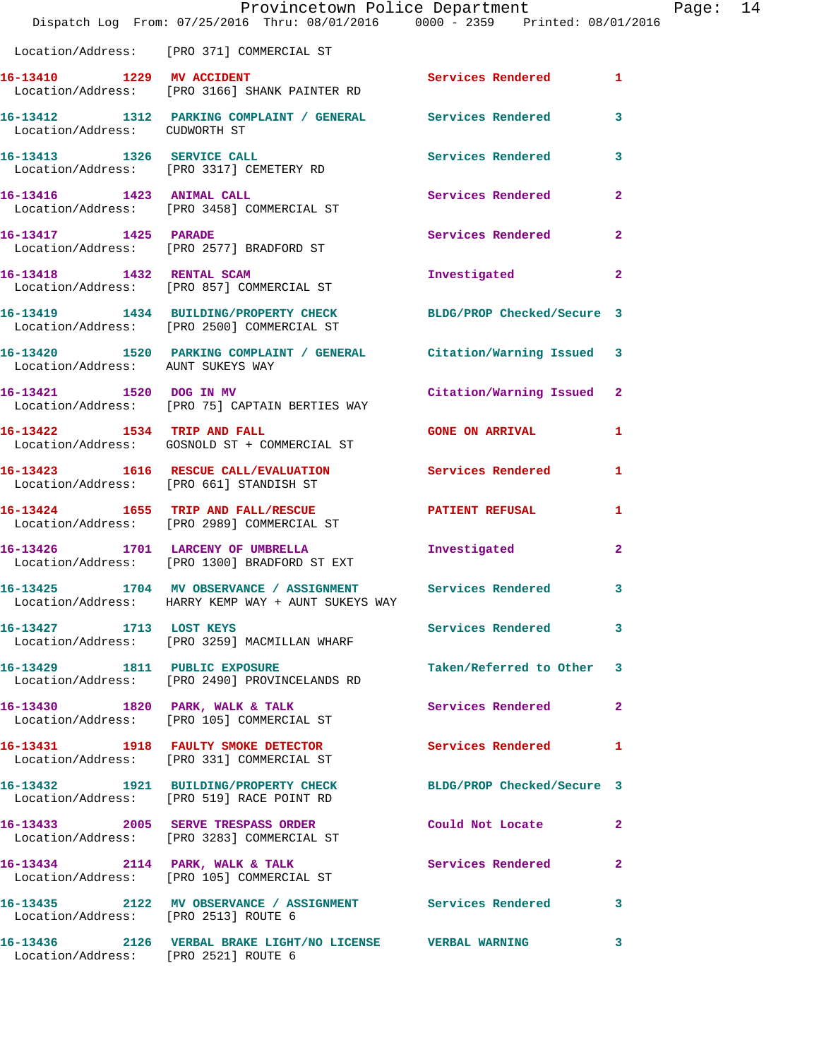|                                      | Provincetown Police Department<br>Dispatch Log From: 07/25/2016 Thru: 08/01/2016 0000 - 2359 Printed: 08/01/2016 |                            |              | Page: 14 |
|--------------------------------------|------------------------------------------------------------------------------------------------------------------|----------------------------|--------------|----------|
|                                      | Location/Address: [PRO 371] COMMERCIAL ST                                                                        |                            |              |          |
|                                      | 16-13410 1229 MV ACCIDENT<br>Location/Address: [PRO 3166] SHANK PAINTER RD                                       | Services Rendered 1        |              |          |
|                                      | 16-13412 1312 PARKING COMPLAINT / GENERAL Services Rendered 3<br>Location/Address: CUDWORTH ST                   |                            |              |          |
|                                      | 16-13413 1326 SERVICE CALL<br>Location/Address: [PRO 3317] CEMETERY RD                                           | Services Rendered 3        |              |          |
|                                      | 16-13416   1423   ANIMAL CALL<br>Location/Address: [PRO 3458] COMMERCIAL ST                                      | Services Rendered          | $\mathbf{2}$ |          |
|                                      | 16-13417 1425 PARADE<br>Location/Address: [PRO 2577] BRADFORD ST                                                 | Services Rendered 2        |              |          |
|                                      | 16-13418   1432 RENTAL SCAM<br>Location/Address: [PRO 857] COMMERCIAL ST                                         | Investigated               | $\mathbf{2}$ |          |
|                                      | 16-13419 1434 BUILDING/PROPERTY CHECK BLDG/PROP Checked/Secure 3<br>Location/Address: [PRO 2500] COMMERCIAL ST   |                            |              |          |
| Location/Address: AUNT SUKEYS WAY    | 16-13420 1520 PARKING COMPLAINT / GENERAL Citation/Warning Issued 3                                              |                            |              |          |
|                                      | 16-13421 1520 DOG IN MV<br>Location/Address: [PRO 75] CAPTAIN BERTIES WAY                                        | Citation/Warning Issued 2  |              |          |
|                                      | 16-13422 1534 TRIP AND FALL<br>Location/Address: GOSNOLD ST + COMMERCIAL ST                                      | <b>GONE ON ARRIVAL</b>     | $\mathbf{1}$ |          |
|                                      | 16-13423 1616 RESCUE CALL/EVALUATION Services Rendered 1<br>Location/Address: [PRO 661] STANDISH ST              |                            |              |          |
|                                      | 16-13424 1655 TRIP AND FALL/RESCUE 16-13424 2 PATIENT REFUSAL<br>Location/Address: [PRO 2989] COMMERCIAL ST      |                            | $\mathbf{1}$ |          |
|                                      | 16-13426 1701 LARCENY OF UMBRELLA<br>Location/Address: [PRO 1300] BRADFORD ST EXT                                | Investigated               | $\mathbf{2}$ |          |
|                                      | 16-13425 1704 MV OBSERVANCE / ASSIGNMENT Services Rendered<br>Location/Address: HARRY KEMP WAY + AUNT SUKEYS WAY |                            | 3            |          |
| 16-13427 1713 LOST KEYS              | Location/Address: [PRO 3259] MACMILLAN WHARF                                                                     | Services Rendered          | 3            |          |
|                                      | 16-13429 1811 PUBLIC EXPOSURE<br>Location/Address: [PRO 2490] PROVINCELANDS RD                                   | Taken/Referred to Other 3  |              |          |
|                                      | 16-13430 1820 PARK, WALK & TALK<br>Location/Address: [PRO 105] COMMERCIAL ST                                     | <b>Services Rendered</b> 2 |              |          |
|                                      | 16-13431 1918 FAULTY SMOKE DETECTOR<br>Location/Address: [PRO 331] COMMERCIAL ST                                 | <b>Services Rendered</b>   | 1            |          |
|                                      | 16-13432 1921 BUILDING/PROPERTY CHECK BLDG/PROP Checked/Secure 3<br>Location/Address: [PRO 519] RACE POINT RD    |                            |              |          |
|                                      | 16-13433 2005 SERVE TRESPASS ORDER Could Not Locate<br>Location/Address: [PRO 3283] COMMERCIAL ST                |                            | $\mathbf{2}$ |          |
|                                      | 16-13434 2114 PARK, WALK & TALK Services Rendered 2<br>Location/Address: [PRO 105] COMMERCIAL ST                 |                            |              |          |
|                                      | 16-13435 2122 MV OBSERVANCE / ASSIGNMENT Services Rendered 3<br>Location/Address: [PRO 2513] ROUTE 6             |                            |              |          |
| Location/Address: [PRO 2521] ROUTE 6 | 16-13436  2126  VERBAL BRAKE LIGHT/NO LICENSE  VERBAL WARNING                                                    |                            | 3            |          |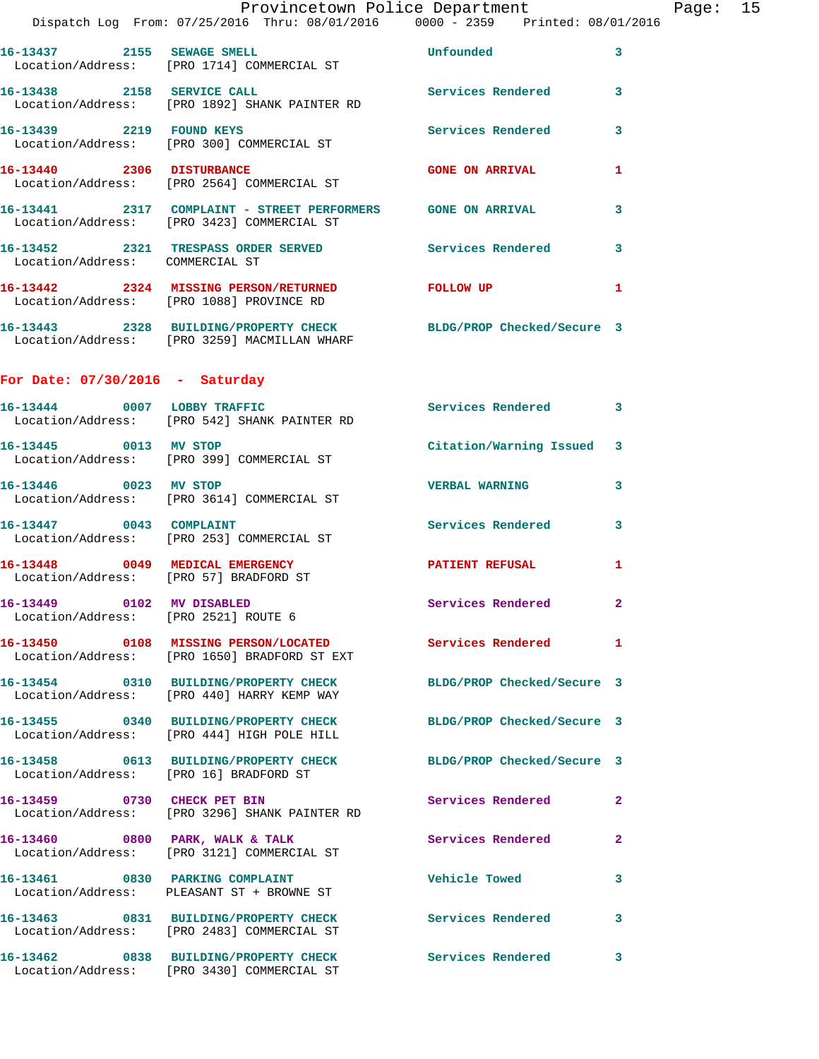|                                                                   | Provincetown Police Department The Page: 15<br>Dispatch Log From: 07/25/2016 Thru: 08/01/2016   0000 - 2359   Printed: 08/01/2016 |                            |              |  |
|-------------------------------------------------------------------|-----------------------------------------------------------------------------------------------------------------------------------|----------------------------|--------------|--|
|                                                                   | 16-13437 2155 SEWAGE SMELL<br>Location/Address: [PRO 1714] COMMERCIAL ST                                                          | <b>Unfounded</b>           | 3            |  |
|                                                                   | 16-13438 2158 SERVICE CALL<br>Location/Address: [PRO 1892] SHANK PAINTER RD                                                       | Services Rendered 3        |              |  |
|                                                                   |                                                                                                                                   | Services Rendered          | 3            |  |
|                                                                   |                                                                                                                                   | <b>GONE ON ARRIVAL</b>     | 1            |  |
|                                                                   |                                                                                                                                   |                            | 3            |  |
| Location/Address: COMMERCIAL ST                                   | 16-13452 2321 TRESPASS ORDER SERVED Services Rendered                                                                             |                            | 3            |  |
|                                                                   | 16-13442 2324 MISSING PERSON/RETURNED FOLLOW UP<br>Location/Address: [PRO 1088] PROVINCE RD                                       |                            | 1            |  |
|                                                                   | 16-13443 2328 BUILDING/PROPERTY CHECK BLDG/PROP Checked/Secure 3<br>Location/Address: [PRO 3259] MACMILLAN WHARF                  |                            |              |  |
| For Date: $07/30/2016$ - Saturday                                 |                                                                                                                                   |                            |              |  |
|                                                                   | 16-13444 0007 LOBBY TRAFFIC<br>Location/Address: [PRO 542] SHANK PAINTER RD                                                       | <b>Services Rendered</b>   | 3            |  |
|                                                                   | 16-13445 0013 MV STOP<br>Location/Address: [PRO 399] COMMERCIAL ST                                                                | Citation/Warning Issued 3  |              |  |
|                                                                   | 16-13446 0023 MV STOP<br>Location/Address: [PRO 3614] COMMERCIAL ST                                                               | <b>VERBAL WARNING</b>      | 3            |  |
| 16-13447 0043 COMPLAINT                                           | Location/Address: [PRO 253] COMMERCIAL ST                                                                                         | Services Rendered 3        |              |  |
| Location/Address: [PRO 57] BRADFORD ST                            | 16-13448 0049 MEDICAL EMERGENCY                                                                                                   | PATIENT REFUSAL            | 1            |  |
| 16-13449 0102 MV DISABLED<br>Location/Address: [PRO 2521] ROUTE 6 |                                                                                                                                   | Services Rendered 2        |              |  |
|                                                                   | Location/Address: [PRO 1650] BRADFORD ST EXT                                                                                      |                            |              |  |
|                                                                   | 16-13454 0310 BUILDING/PROPERTY CHECK<br>Location/Address: [PRO 440] HARRY KEMP WAY                                               | BLDG/PROP Checked/Secure 3 |              |  |
|                                                                   | 16-13455 0340 BUILDING/PROPERTY CHECK BLDG/PROP Checked/Secure 3<br>Location/Address: [PRO 444] HIGH POLE HILL                    |                            |              |  |
| Location/Address: [PRO 16] BRADFORD ST                            | 16-13458 0613 BUILDING/PROPERTY CHECK BLDG/PROP Checked/Secure 3                                                                  |                            |              |  |
|                                                                   | 16-13459 0730 CHECK PET BIN<br>Location/Address: [PRO 3296] SHANK PAINTER RD                                                      | Services Rendered          | 2            |  |
|                                                                   | 16-13460 0800 PARK, WALK & TALK<br>Location/Address: [PRO 3121] COMMERCIAL ST                                                     | Services Rendered          | $\mathbf{2}$ |  |
|                                                                   | 16-13461 0830 PARKING COMPLAINT<br>Location/Address: PLEASANT ST + BROWNE ST                                                      | <b>Vehicle Towed</b>       | 3            |  |
|                                                                   | 16-13463 0831 BUILDING/PROPERTY CHECK Services Rendered<br>Location/Address: [PRO 2483] COMMERCIAL ST                             |                            | 3            |  |
|                                                                   | 16-13462 0838 BUILDING/PROPERTY CHECK Services Rendered<br>Location/Address: [PRO 3430] COMMERCIAL ST                             |                            | 3            |  |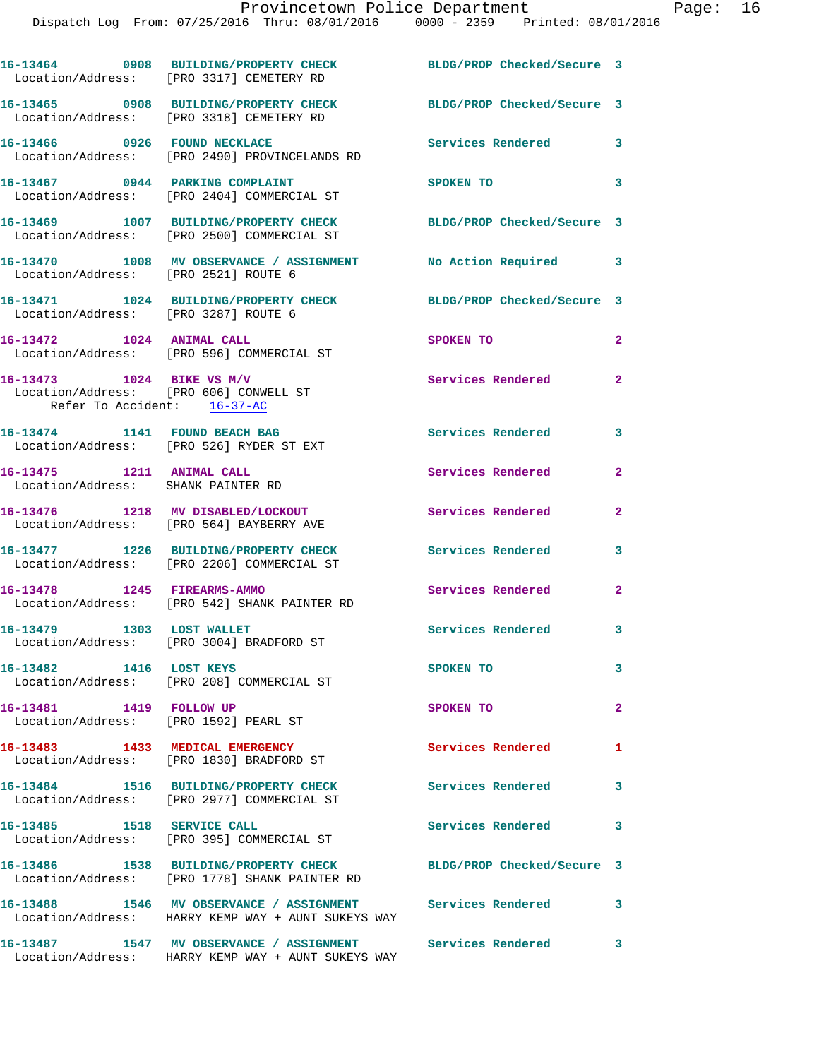|                                                                                                    | 16-13464 0908 BUILDING/PROPERTY CHECK<br>Location/Address: [PRO 3317] CEMETERY RD                                | BLDG/PROP Checked/Secure 3 |                |
|----------------------------------------------------------------------------------------------------|------------------------------------------------------------------------------------------------------------------|----------------------------|----------------|
|                                                                                                    | 16-13465 0908 BUILDING/PROPERTY CHECK<br>Location/Address: [PRO 3318] CEMETERY RD                                | BLDG/PROP Checked/Secure 3 |                |
| 16-13466 0926 FOUND NECKLACE                                                                       | Location/Address: [PRO 2490] PROVINCELANDS RD                                                                    | Services Rendered 3        |                |
|                                                                                                    | 16-13467 0944 PARKING COMPLAINT<br>Location/Address: [PRO 2404] COMMERCIAL ST                                    | SPOKEN TO                  | 3              |
|                                                                                                    | 16-13469 1007 BUILDING/PROPERTY CHECK<br>Location/Address: [PRO 2500] COMMERCIAL ST                              | BLDG/PROP Checked/Secure 3 |                |
| Location/Address: [PRO 2521] ROUTE 6                                                               | 16-13470 1008 MV OBSERVANCE / ASSIGNMENT                                                                         | No Action Required         | 3              |
| Location/Address: [PRO 3287] ROUTE 6                                                               | 16-13471    1024 BUILDING/PROPERTY CHECK                                                                         | BLDG/PROP Checked/Secure 3 |                |
| 16-13472 1024 ANIMAL CALL                                                                          | Location/Address: [PRO 596] COMMERCIAL ST                                                                        | SPOKEN TO                  | $\mathbf{2}$   |
| 16-13473 1024 BIKE VS M/V<br>Location/Address: [PRO 606] CONWELL ST<br>Refer To Accident: 16-37-AC |                                                                                                                  | Services Rendered          | $\mathbf{2}$   |
| 16-13474 1141 FOUND BEACH BAG                                                                      | Location/Address: [PRO 526] RYDER ST EXT                                                                         | Services Rendered 3        |                |
| 16-13475 1211 ANIMAL CALL<br>Location/Address: SHANK PAINTER RD                                    |                                                                                                                  | Services Rendered          | $\mathbf{2}$   |
|                                                                                                    | 16-13476 1218 MV DISABLED/LOCKOUT<br>Location/Address: [PRO 564] BAYBERRY AVE                                    | Services Rendered          | $\overline{2}$ |
|                                                                                                    | 16-13477 1226 BUILDING/PROPERTY CHECK<br>Location/Address: [PRO 2206] COMMERCIAL ST                              | Services Rendered          | 3              |
| 16-13478 1245 FIREARMS-AMMO                                                                        | Location/Address: [PRO 542] SHANK PAINTER RD                                                                     | Services Rendered          | $\mathbf{2}$   |
| 16-13479 1303 LOST WALLET                                                                          | Location/Address: [PRO 3004] BRADFORD ST                                                                         | Services Rendered          | 3              |
| 16-13482 1416 LOST KEYS                                                                            | Location/Address: [PRO 208] COMMERCIAL ST                                                                        | SPOKEN TO                  | 3              |
| 16-13481 1419 FOLLOW UP<br>Location/Address: [PRO 1592] PEARL ST                                   |                                                                                                                  | SPOKEN TO                  | $\overline{2}$ |
|                                                                                                    | 16-13483 1433 MEDICAL EMERGENCY<br>Location/Address: [PRO 1830] BRADFORD ST                                      | <b>Services Rendered</b>   | 1              |
|                                                                                                    | 16-13484 1516 BUILDING/PROPERTY CHECK<br>Location/Address: [PRO 2977] COMMERCIAL ST                              | <b>Services Rendered</b>   | 3              |
| 16-13485 1518 SERVICE CALL                                                                         | Location/Address: [PRO 395] COMMERCIAL ST                                                                        | Services Rendered          | $\mathbf{3}$   |
|                                                                                                    | 16-13486 1538 BUILDING/PROPERTY CHECK<br>Location/Address: [PRO 1778] SHANK PAINTER RD                           | BLDG/PROP Checked/Secure 3 |                |
|                                                                                                    | 16-13488 1546 MV OBSERVANCE / ASSIGNMENT Services Rendered<br>Location/Address: HARRY KEMP WAY + AUNT SUKEYS WAY |                            | 3              |
| 16-13487                                                                                           | 1547 MV OBSERVANCE / ASSIGNMENT Services Rendered                                                                |                            | 3              |

Location/Address: HARRY KEMP WAY + AUNT SUKEYS WAY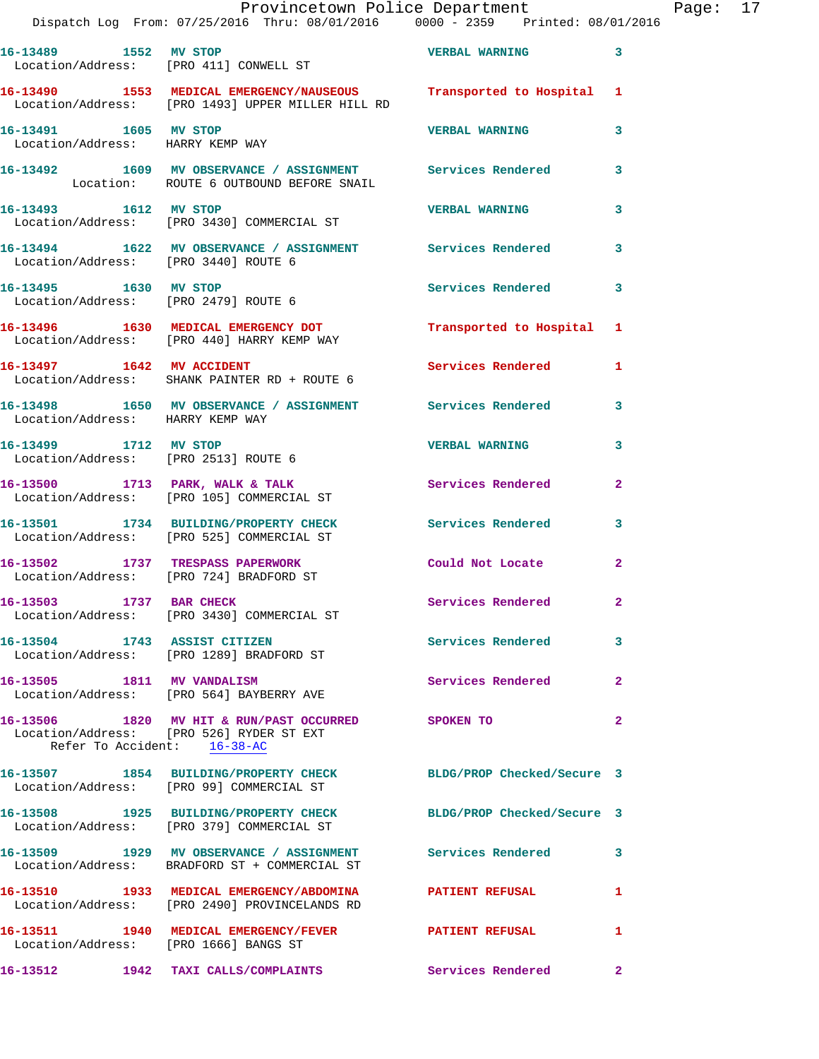|                                                           | Provincetown Police Department<br>Dispatch Log From: 07/25/2016 Thru: 08/01/2016 0000 - 2359 Printed: 08/01/2016        |                            |              | Page: 17 |  |
|-----------------------------------------------------------|-------------------------------------------------------------------------------------------------------------------------|----------------------------|--------------|----------|--|
|                                                           | 16-13489 1552 MV STOP<br>Location/Address: [PRO 411] CONWELL ST                                                         | <b>VERBAL WARNING</b> 3    |              |          |  |
|                                                           | 16-13490 1553 MEDICAL EMERGENCY/NAUSEOUS Transported to Hospital 1<br>Location/Address: [PRO 1493] UPPER MILLER HILL RD |                            |              |          |  |
| 16-13491 1605 MV STOP<br>Location/Address: HARRY KEMP WAY |                                                                                                                         | VERBAL WARNING             | 3            |          |  |
|                                                           | 16-13492 1609 MV OBSERVANCE / ASSIGNMENT Services Rendered 3<br>Location: ROUTE 6 OUTBOUND BEFORE SNAIL                 |                            |              |          |  |
|                                                           | 16-13493 1612 MV STOP<br>Location/Address: [PRO 3430] COMMERCIAL ST                                                     | <b>VERBAL WARNING</b>      | $\mathbf{3}$ |          |  |
| Location/Address: [PRO 3440] ROUTE 6                      | 16-13494 1622 MV OBSERVANCE / ASSIGNMENT Services Rendered 3                                                            |                            |              |          |  |
| 16-13495 1630 MV STOP                                     | Location/Address: [PRO 2479] ROUTE 6                                                                                    | Services Rendered 3        |              |          |  |
|                                                           | 16-13496 1630 MEDICAL EMERGENCY DOT Transported to Hospital 1<br>Location/Address: [PRO 440] HARRY KEMP WAY             |                            |              |          |  |
|                                                           | 16-13497 1642 MV ACCIDENT<br>Location/Address: SHANK PAINTER RD + ROUTE 6                                               | Services Rendered 1        |              |          |  |
| Location/Address: HARRY KEMP WAY                          | 16-13498 1650 MV OBSERVANCE / ASSIGNMENT Services Rendered 3                                                            |                            |              |          |  |
| 16-13499 1712 MV STOP                                     | Location/Address: [PRO 2513] ROUTE 6                                                                                    | VERBAL WARNING 3           |              |          |  |
|                                                           | 16-13500 1713 PARK, WALK & TALK Services Rendered Location/Address: [PRO 105] COMMERCIAL ST                             |                            | $\mathbf{2}$ |          |  |
|                                                           | 16-13501 1734 BUILDING/PROPERTY CHECK Services Rendered 3<br>Location/Address: [PRO 525] COMMERCIAL ST                  |                            |              |          |  |
|                                                           | 16-13502 1737 TRESPASS PAPERWORK<br>Location/Address: [PRO 724] BRADFORD ST                                             | Could Not Locate 2         |              |          |  |
|                                                           | 16-13503 1737 BAR CHECK<br>Location/Address: [PRO 3430] COMMERCIAL ST                                                   | <b>Services Rendered</b>   |              |          |  |
|                                                           | 16-13504 1743 ASSIST CITIZEN<br>Location/Address: [PRO 1289] BRADFORD ST                                                | Services Rendered 3        |              |          |  |
|                                                           | 16-13505 1811 MV VANDALISM<br>Location/Address: [PRO 564] BAYBERRY AVE                                                  | <b>Services Rendered</b> 2 |              |          |  |
| Refer To Accident: 16-38-AC                               | 16-13506 1820 MV HIT & RUN/PAST OCCURRED SPOKEN TO<br>Location/Address: [PRO 526] RYDER ST EXT                          |                            | $\mathbf{2}$ |          |  |
|                                                           | 16-13507 1854 BUILDING/PROPERTY CHECK BLDG/PROP Checked/Secure 3<br>Location/Address: [PRO 99] COMMERCIAL ST            |                            |              |          |  |
|                                                           | 16-13508 1925 BUILDING/PROPERTY CHECK BLDG/PROP Checked/Secure 3<br>Location/Address: [PRO 379] COMMERCIAL ST           |                            |              |          |  |
|                                                           | 16-13509 1929 MV OBSERVANCE / ASSIGNMENT Services Rendered 3<br>Location/Address: BRADFORD ST + COMMERCIAL ST           |                            |              |          |  |
|                                                           | 16-13510 1933 MEDICAL EMERGENCY/ABDOMINA PATIENT REFUSAL<br>Location/Address: [PRO 2490] PROVINCELANDS RD               |                            | $\mathbf{1}$ |          |  |
| Location/Address: [PRO 1666] BANGS ST                     | 16-13511 1940 MEDICAL EMERGENCY/FEVER PATIENT REFUSAL                                                                   |                            | 1            |          |  |
|                                                           | 16-13512 1942 TAXI CALLS/COMPLAINTS Services Rendered 2                                                                 |                            |              |          |  |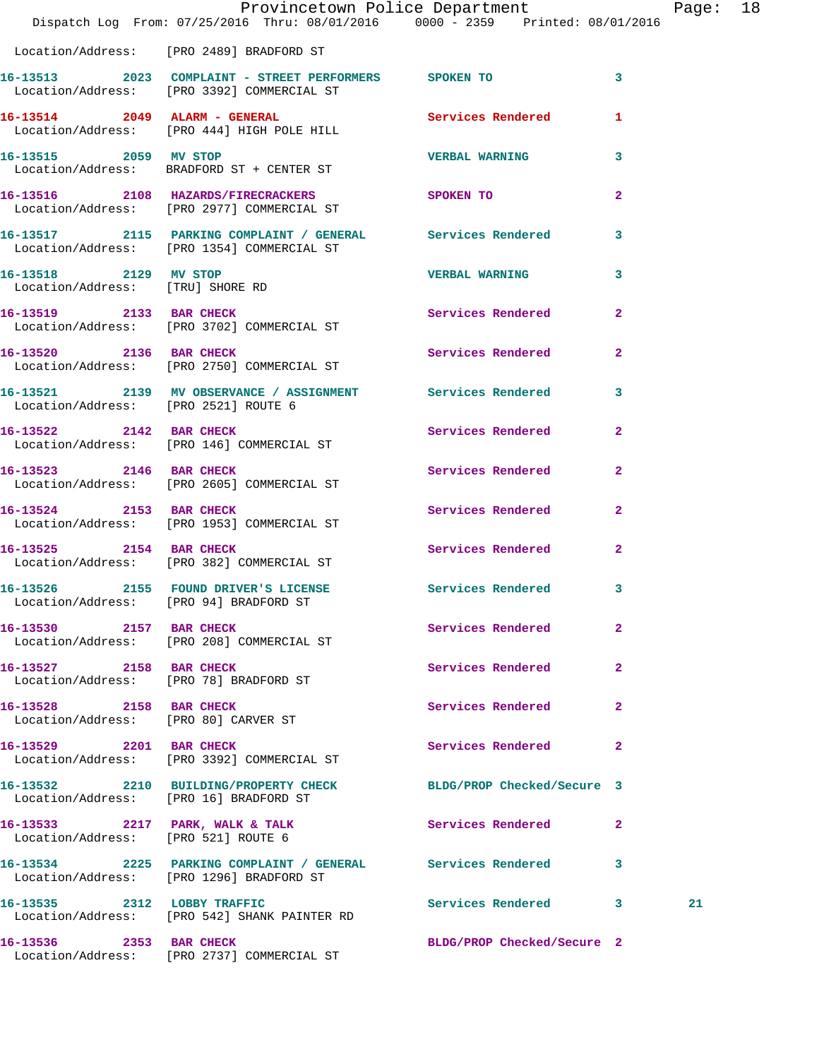|                                                           | Dispatch Log From: 07/25/2016 Thru: 08/01/2016 0000 - 2359 Printed: 08/01/2016                              | Provincetown Police Department |                | Page: | 18 |
|-----------------------------------------------------------|-------------------------------------------------------------------------------------------------------------|--------------------------------|----------------|-------|----|
|                                                           | Location/Address: [PRO 2489] BRADFORD ST                                                                    |                                |                |       |    |
|                                                           | 16-13513 2023 COMPLAINT - STREET PERFORMERS SPOKEN TO<br>Location/Address: [PRO 3392] COMMERCIAL ST         |                                | 3              |       |    |
|                                                           | 16-13514 2049 ALARM - GENERAL<br>Location/Address: [PRO 444] HIGH POLE HILL                                 | Services Rendered 1            |                |       |    |
|                                                           | 16-13515 2059 MV STOP<br>Location/Address: BRADFORD ST + CENTER ST                                          | <b>VERBAL WARNING</b>          | $\mathbf{3}$   |       |    |
|                                                           | 16-13516 2108 HAZARDS/FIRECRACKERS SPOKEN TO<br>Location/Address: [PRO 2977] COMMERCIAL ST                  |                                | $\mathbf{2}$   |       |    |
|                                                           | 16-13517 2115 PARKING COMPLAINT / GENERAL Services Rendered 3<br>Location/Address: [PRO 1354] COMMERCIAL ST |                                |                |       |    |
| 16-13518 2129 MV STOP<br>Location/Address: [TRU] SHORE RD |                                                                                                             | VERBAL WARNING 3               |                |       |    |
|                                                           | 16-13519 2133 BAR CHECK<br>Location/Address: [PRO 3702] COMMERCIAL ST                                       | Services Rendered 2            |                |       |    |
|                                                           | 16-13520 2136 BAR CHECK<br>Location/Address: [PRO 2750] COMMERCIAL ST                                       | Services Rendered              | $\mathbf{2}$   |       |    |
| Location/Address: [PRO 2521] ROUTE 6                      | 16-13521 2139 MV OBSERVANCE / ASSIGNMENT Services Rendered 3                                                |                                |                |       |    |
|                                                           | 16-13522 2142 BAR CHECK<br>Location/Address: [PRO 146] COMMERCIAL ST                                        | Services Rendered              | $\mathbf{2}$   |       |    |
| 16-13523 2146 BAR CHECK                                   | Location/Address: [PRO 2605] COMMERCIAL ST                                                                  | Services Rendered              | $\mathbf{2}$   |       |    |
|                                                           | 16-13524 2153 BAR CHECK<br>Location/Address: [PRO 1953] COMMERCIAL ST                                       | Services Rendered              | $\overline{2}$ |       |    |
| 16-13525 2154 BAR CHECK                                   | Location/Address: [PRO 382] COMMERCIAL ST                                                                   | Services Rendered              | $\overline{2}$ |       |    |
|                                                           | 16-13526 2155 FOUND DRIVER'S LICENSE Services Rendered 3<br>Location/Address: [PRO 94] BRADFORD ST          |                                |                |       |    |
| 16-13530 2157 BAR CHECK                                   | Location/Address: [PRO 208] COMMERCIAL ST                                                                   | Services Rendered 2            |                |       |    |
|                                                           | 16-13527 2158 BAR CHECK<br>Location/Address: [PRO 78] BRADFORD ST                                           | Services Rendered 2            |                |       |    |
| 16-13528 2158 BAR CHECK                                   | Location/Address: [PRO 80] CARVER ST                                                                        | Services Rendered 2            |                |       |    |
|                                                           | 16-13529 2201 BAR CHECK<br>Location/Address: [PRO 3392] COMMERCIAL ST                                       | Services Rendered 2            |                |       |    |
|                                                           | 16-13532 2210 BUILDING/PROPERTY CHECK BLDG/PROP Checked/Secure 3<br>Location/Address: [PRO 16] BRADFORD ST  |                                |                |       |    |
|                                                           | 16-13533 2217 PARK, WALK & TALK Services Rendered 2<br>Location/Address: [PRO 521] ROUTE 6                  |                                |                |       |    |
|                                                           | 16-13534 2225 PARKING COMPLAINT / GENERAL Services Rendered 3<br>Location/Address: [PRO 1296] BRADFORD ST   |                                |                |       |    |
|                                                           | 16-13535 2312 LOBBY TRAFFIC<br>Location/Address: [PRO 542] SHANK PAINTER RD                                 | Services Rendered 3            |                | 21    |    |
| 16-13536 2353 BAR CHECK                                   |                                                                                                             | BLDG/PROP Checked/Secure 2     |                |       |    |

Location/Address: [PRO 2737] COMMERCIAL ST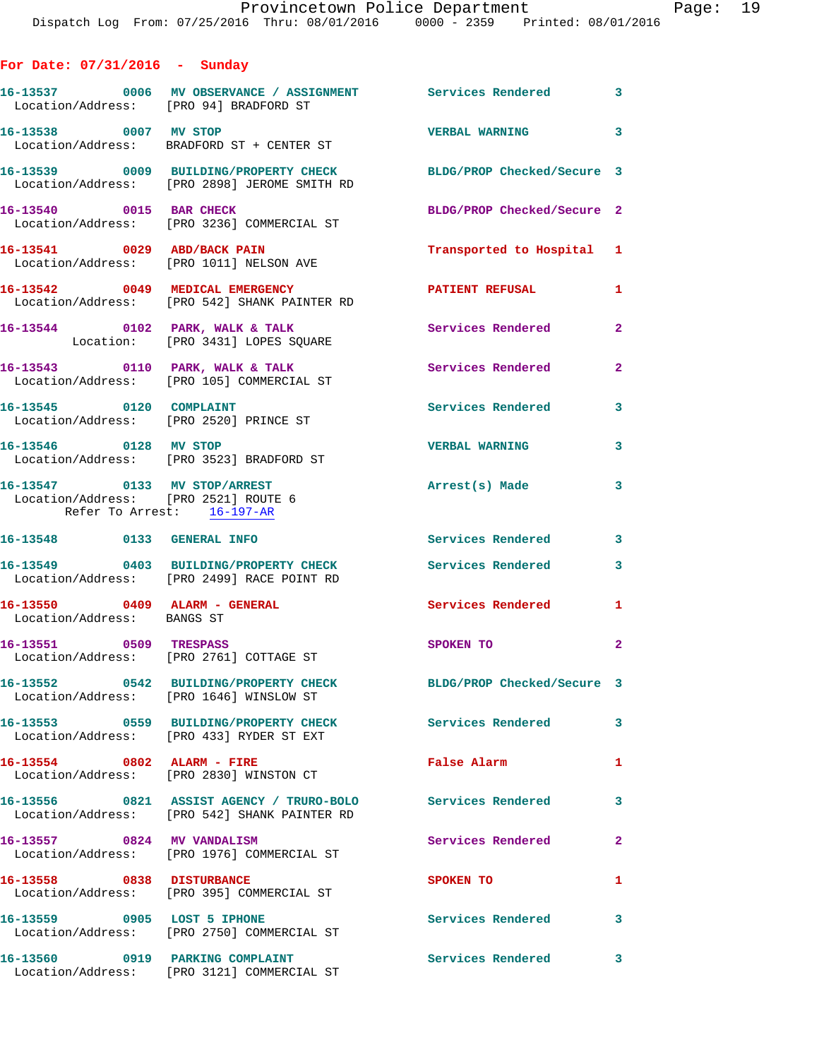| For Date: $07/31/2016$ - Sunday                                                                    |                                                                                          |                            |                |
|----------------------------------------------------------------------------------------------------|------------------------------------------------------------------------------------------|----------------------------|----------------|
| Location/Address: [PRO 94] BRADFORD ST                                                             | 16-13537 0006 MV OBSERVANCE / ASSIGNMENT Services Rendered 3                             |                            |                |
| 16-13538 0007 MV STOP                                                                              | Location/Address: BRADFORD ST + CENTER ST                                                | VERBAL WARNING 3           |                |
|                                                                                                    | 16-13539 0009 BUILDING/PROPERTY CHECK<br>Location/Address: [PRO 2898] JEROME SMITH RD    | BLDG/PROP Checked/Secure 3 |                |
| 16-13540 0015 BAR CHECK                                                                            | Location/Address: [PRO 3236] COMMERCIAL ST                                               | BLDG/PROP Checked/Secure 2 |                |
|                                                                                                    | 16-13541 0029 ABD/BACK PAIN<br>Location/Address: [PRO 1011] NELSON AVE                   | Transported to Hospital 1  |                |
|                                                                                                    | 16-13542 0049 MEDICAL EMERGENCY<br>Location/Address: [PRO 542] SHANK PAINTER RD          | <b>PATIENT REFUSAL</b>     | $\mathbf{1}$   |
|                                                                                                    | 16-13544 0102 PARK, WALK & TALK<br>Location: [PRO 3431] LOPES SQUARE                     | Services Rendered          | $\overline{2}$ |
|                                                                                                    | 16-13543 0110 PARK, WALK & TALK<br>Location/Address: [PRO 105] COMMERCIAL ST             | <b>Services Rendered</b>   | $\mathbf{2}$   |
| 16-13545 0120 COMPLAINT<br>Location/Address: [PRO 2520] PRINCE ST                                  |                                                                                          | <b>Services Rendered</b>   | 3              |
| 16-13546 0128 MV STOP                                                                              | Location/Address: [PRO 3523] BRADFORD ST                                                 | <b>VERBAL WARNING</b>      | 3              |
| 16-13547 0133 MV STOP/ARREST<br>Location/Address: [PRO 2521] ROUTE 6<br>Refer To Arrest: 16-197-AR |                                                                                          | Arrest(s) Made             | 3              |
| 16-13548 0133 GENERAL INFO                                                                         |                                                                                          | Services Rendered          | $\mathbf{3}$   |
|                                                                                                    | 16-13549 0403 BUILDING/PROPERTY CHECK<br>Location/Address: [PRO 2499] RACE POINT RD      | <b>Services Rendered</b>   | 3              |
| 16-13550 0409 ALARM - GENERAL<br>Location/Address: BANGS ST                                        |                                                                                          | <b>Services Rendered</b>   | $\mathbf{1}$   |
| 0509 TRESPASS<br>16-13551                                                                          | Location/Address: [PRO 2761] COTTAGE ST                                                  | <b>SPOKEN TO</b>           | $\mathbf{2}$   |
|                                                                                                    | 16-13552 0542 BUILDING/PROPERTY CHECK<br>Location/Address: [PRO 1646] WINSLOW ST         | BLDG/PROP Checked/Secure 3 |                |
|                                                                                                    |                                                                                          | <b>Services Rendered</b>   | 3              |
| 16-13554 0802 ALARM - FIRE                                                                         | Location/Address: [PRO 2830] WINSTON CT                                                  | False Alarm                | 1              |
|                                                                                                    | 16-13556 0821 ASSIST AGENCY / TRURO-BOLO<br>Location/Address: [PRO 542] SHANK PAINTER RD | <b>Services Rendered</b>   | 3              |
| 16-13557 0824 MV VANDALISM                                                                         | Location/Address: [PRO 1976] COMMERCIAL ST                                               | Services Rendered          | $\mathbf{2}$   |
| 16-13558 0838 DISTURBANCE                                                                          | Location/Address: [PRO 395] COMMERCIAL ST                                                | SPOKEN TO                  | 1              |
| 16-13559 0905 LOST 5 IPHONE                                                                        | Location/Address: [PRO 2750] COMMERCIAL ST                                               | Services Rendered          | 3              |
| 16-13560 0919 PARKING COMPLAINT                                                                    | Location/Address: [PRO 3121] COMMERCIAL ST                                               | Services Rendered          | 3              |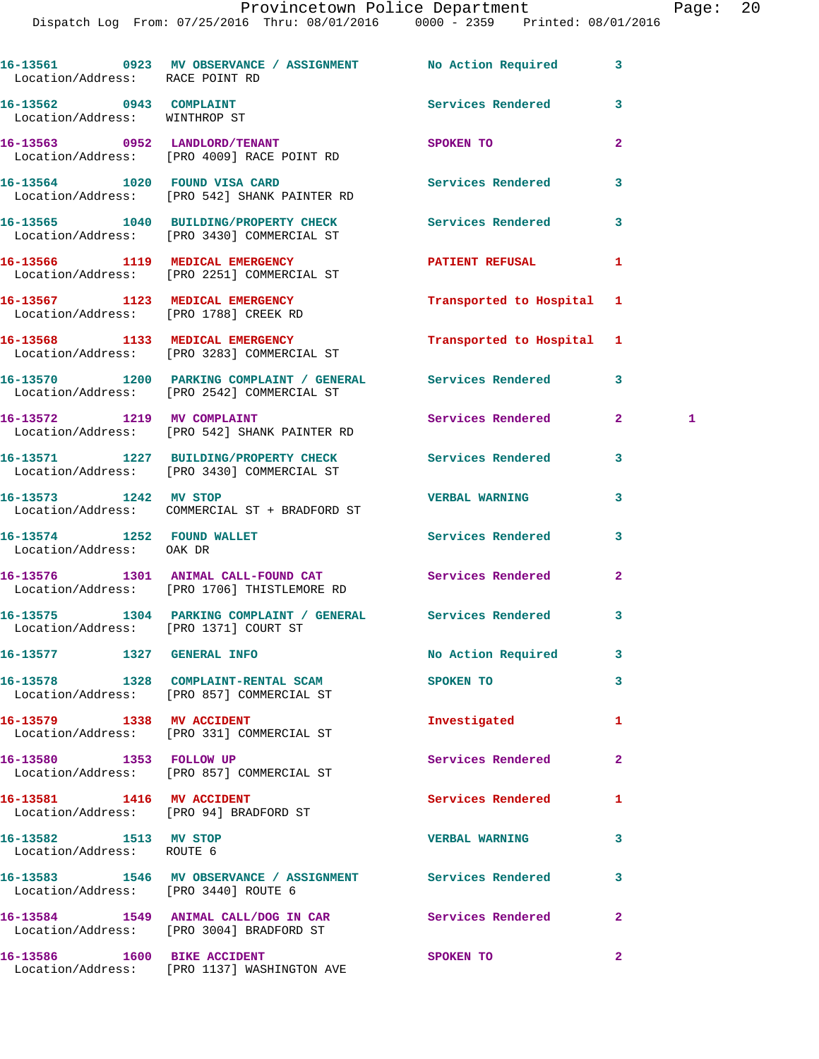Dispatch Log From: 07/25/2016 Thru: 08/01/2016 0000 - 2359 Printed: 08/01/2016

| Location/Address: RACE POINT RD                                          | 16-13561 0923 MV OBSERVANCE / ASSIGNMENT No Action Required                                               |                          | 3              |   |
|--------------------------------------------------------------------------|-----------------------------------------------------------------------------------------------------------|--------------------------|----------------|---|
| 16-13562 0943 COMPLAINT<br>Location/Address: WINTHROP ST                 |                                                                                                           | Services Rendered        | 3              |   |
|                                                                          | 16-13563 0952 LANDLORD/TENANT<br>Location/Address: [PRO 4009] RACE POINT RD                               | SPOKEN TO                | $\overline{a}$ |   |
|                                                                          | 16-13564 1020 FOUND VISA CARD<br>Location/Address: [PRO 542] SHANK PAINTER RD                             | <b>Services Rendered</b> | 3              |   |
|                                                                          | 16-13565 1040 BUILDING/PROPERTY CHECK<br>Location/Address: [PRO 3430] COMMERCIAL ST                       | Services Rendered        | 3              |   |
|                                                                          | 16-13566 1119 MEDICAL EMERGENCY<br>Location/Address: [PRO 2251] COMMERCIAL ST                             | PATIENT REFUSAL          | 1              |   |
| 16-13567 1123 MEDICAL EMERGENCY<br>Location/Address: [PRO 1788] CREEK RD |                                                                                                           | Transported to Hospital  | 1              |   |
|                                                                          | 16-13568 1133 MEDICAL EMERGENCY<br>Location/Address: [PRO 3283] COMMERCIAL ST                             | Transported to Hospital  | 1              |   |
|                                                                          | 16-13570 1200 PARKING COMPLAINT / GENERAL Services Rendered<br>Location/Address: [PRO 2542] COMMERCIAL ST |                          | 3              |   |
| 16-13572 1219 MV COMPLAINT                                               | Location/Address: [PRO 542] SHANK PAINTER RD                                                              | Services Rendered        | $\mathbf{2}$   | 1 |
|                                                                          | 16-13571 1227 BUILDING/PROPERTY CHECK<br>Location/Address: [PRO 3430] COMMERCIAL ST                       | <b>Services Rendered</b> | 3              |   |
| 16-13573 1242 MV STOP                                                    | Location/Address: COMMERCIAL ST + BRADFORD ST                                                             | <b>VERBAL WARNING</b>    | 3              |   |
| 16-13574 1252 FOUND WALLET<br>Location/Address: OAK DR                   |                                                                                                           | Services Rendered        | 3              |   |
|                                                                          | 16-13576 1301 ANIMAL CALL-FOUND CAT<br>Location/Address: [PRO 1706] THISTLEMORE RD                        | Services Rendered        | $\overline{a}$ |   |
| Location/Address: [PRO 1371] COURT ST                                    | 16-13575 1304 PARKING COMPLAINT / GENERAL Services Rendered                                               |                          | 3              |   |
| 16-13577 1327 GENERAL INFO                                               |                                                                                                           | No Action Required       | 3              |   |
|                                                                          | 16-13578 1328 COMPLAINT-RENTAL SCAM<br>Location/Address: [PRO 857] COMMERCIAL ST                          | SPOKEN TO                | 3              |   |
| 16-13579 1338 MV ACCIDENT                                                | Location/Address: [PRO 331] COMMERCIAL ST                                                                 | Investigated             | 1              |   |
| 16-13580 1353 FOLLOW UP                                                  | Location/Address: [PRO 857] COMMERCIAL ST                                                                 | <b>Services Rendered</b> | 2              |   |
| 16-13581 1416 MV ACCIDENT                                                | Location/Address: [PRO 94] BRADFORD ST                                                                    | Services Rendered        | 1              |   |
| 16-13582 1513 MV STOP<br>Location/Address: ROUTE 6                       |                                                                                                           | <b>VERBAL WARNING</b>    | 3              |   |
| Location/Address: [PRO 3440] ROUTE 6                                     | 16-13583 1546 MV OBSERVANCE / ASSIGNMENT Services Rendered                                                |                          | 3              |   |
|                                                                          | 16-13584 1549 ANIMAL CALL/DOG IN CAR<br>Location/Address: [PRO 3004] BRADFORD ST                          | <b>Services Rendered</b> | $\overline{2}$ |   |
| 16-13586 1600 BIKE ACCIDENT                                              | Location/Address: [PRO 1137] WASHINGTON AVE                                                               | SPOKEN TO                | $\mathbf{2}$   |   |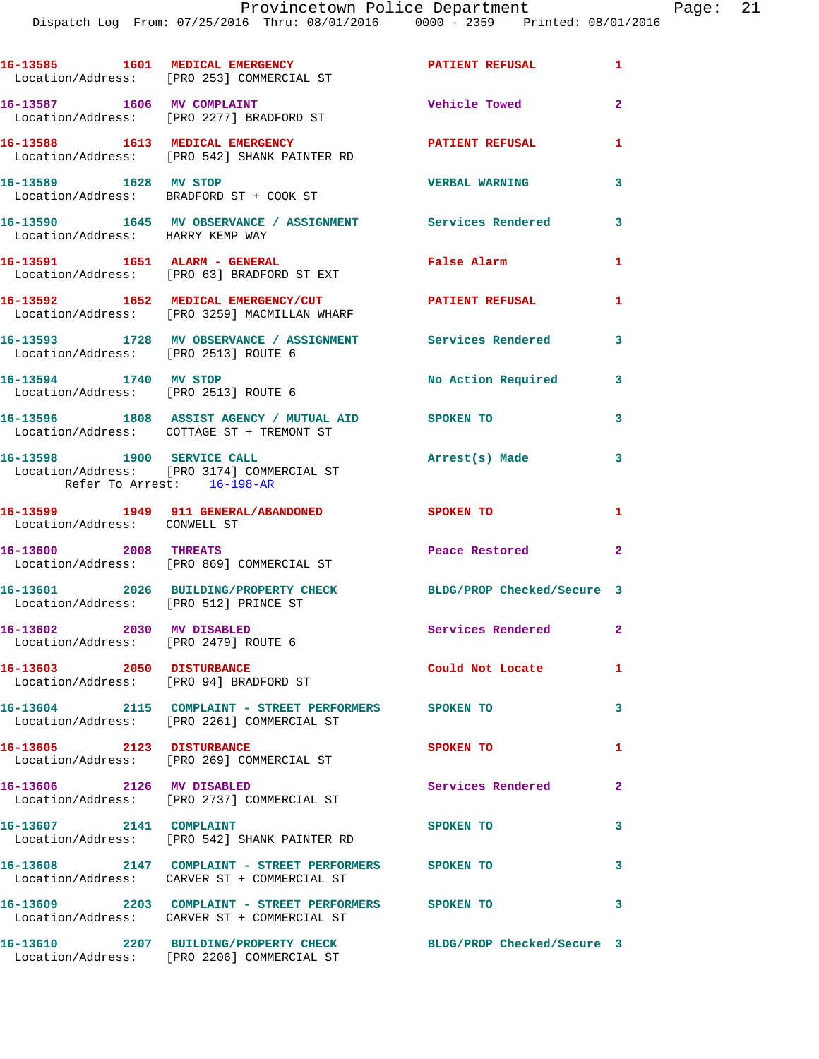|                                                                   | 16-13585 1601 MEDICAL EMERGENCY<br>Location/Address: [PRO 253] COMMERCIAL ST                         | PATIENT REFUSAL 1          |                         |
|-------------------------------------------------------------------|------------------------------------------------------------------------------------------------------|----------------------------|-------------------------|
|                                                                   | 16-13587 1606 MV COMPLAINT<br>Location/Address: [PRO 2277] BRADFORD ST                               | <b>Vehicle Towed</b>       | $\overline{2}$          |
|                                                                   | 16-13588 1613 MEDICAL EMERGENCY<br>Location/Address: [PRO 542] SHANK PAINTER RD                      | <b>PATIENT REFUSAL</b>     | $\mathbf{1}$            |
| 16-13589 1628 MV STOP                                             | Location/Address: BRADFORD ST + COOK ST                                                              | <b>VERBAL WARNING</b>      | 3                       |
| Location/Address: HARRY KEMP WAY                                  | 16-13590 1645 MV OBSERVANCE / ASSIGNMENT Services Rendered                                           |                            | 3                       |
|                                                                   | 16-13591 1651 ALARM - GENERAL<br>Location/Address: [PRO 63] BRADFORD ST EXT                          | False Alarm                | $\mathbf{1}$            |
|                                                                   | 16-13592 1652 MEDICAL EMERGENCY/CUT<br>Location/Address: [PRO 3259] MACMILLAN WHARF                  | PATIENT REFUSAL            | 1                       |
| Location/Address: [PRO 2513] ROUTE 6                              | 16-13593 1728 MV OBSERVANCE / ASSIGNMENT Services Rendered                                           |                            | 3                       |
| 16-13594 1740 MV STOP                                             | Location/Address: [PRO 2513] ROUTE 6                                                                 | No Action Required         | $\overline{\mathbf{3}}$ |
|                                                                   | 16-13596 1808 ASSIST AGENCY / MUTUAL AID SPOKEN TO<br>Location/Address: COTTAGE ST + TREMONT ST      |                            | 3                       |
| Refer To Arrest: 16-198-AR                                        | 16-13598 1900 SERVICE CALL<br>Location/Address: [PRO 3174] COMMERCIAL ST                             | Arrest(s) Made             | 3                       |
| Location/Address: CONWELL ST                                      | 16-13599 1949 911 GENERAL/ABANDONED                                                                  | <b>SPOKEN TO</b>           | $\mathbf{1}$            |
| 16-13600 2008 THREATS                                             | Location/Address: [PRO 869] COMMERCIAL ST                                                            | Peace Restored             | $\overline{a}$          |
| Location/Address: [PRO 512] PRINCE ST                             | 16-13601 2026 BUILDING/PROPERTY CHECK                                                                | BLDG/PROP Checked/Secure 3 |                         |
| 16-13602 2030 MV DISABLED<br>Location/Address: [PRO 2479] ROUTE 6 |                                                                                                      | Services Rendered 2        |                         |
| 16-13603 2050 DISTURBANCE                                         | Location/Address: [PRO 94] BRADFORD ST                                                               | Could Not Locate           | $\mathbf{1}$            |
|                                                                   | 16-13604 2115 COMPLAINT - STREET PERFORMERS SPOKEN TO<br>Location/Address: [PRO 2261] COMMERCIAL ST  |                            | 3                       |
| 16-13605 2123 DISTURBANCE                                         | Location/Address: [PRO 269] COMMERCIAL ST                                                            | SPOKEN TO                  | $\mathbf{1}$            |
| 16-13606 2126 MV DISABLED                                         | Location/Address: [PRO 2737] COMMERCIAL ST                                                           | Services Rendered          | $\mathbf{2}$            |
| 16-13607 2141 COMPLAINT                                           | Location/Address: [PRO 542] SHANK PAINTER RD                                                         | SPOKEN TO                  | 3                       |
|                                                                   | 16-13608 2147 COMPLAINT - STREET PERFORMERS SPOKEN TO<br>Location/Address: CARVER ST + COMMERCIAL ST |                            | 3                       |
|                                                                   | 16-13609 2203 COMPLAINT - STREET PERFORMERS SPOKEN TO<br>Location/Address: CARVER ST + COMMERCIAL ST |                            | 3                       |
|                                                                   | 16-13610 2207 BUILDING/PROPERTY CHECK<br>Location/Address: [PRO 2206] COMMERCIAL ST                  | BLDG/PROP Checked/Secure 3 |                         |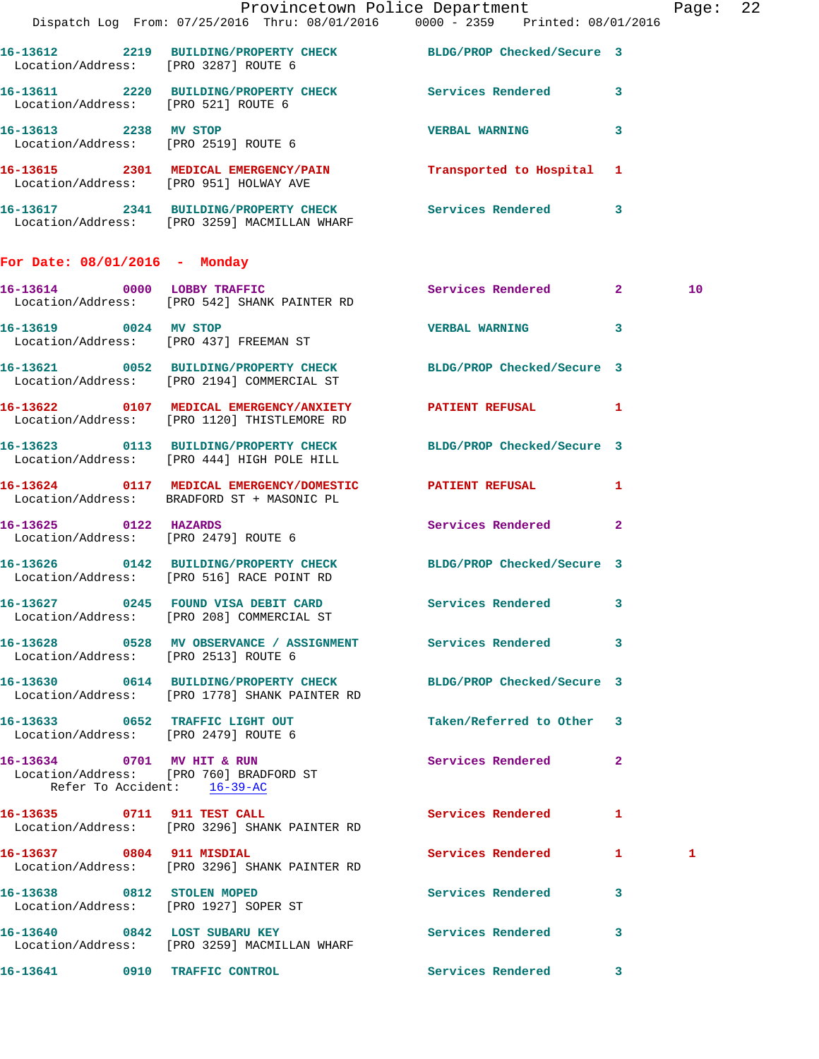|                                      |                                                                                                                   | Provincetown Police Department | Page: 22        |  |
|--------------------------------------|-------------------------------------------------------------------------------------------------------------------|--------------------------------|-----------------|--|
|                                      | Dispatch Log From: 07/25/2016 Thru: 08/01/2016 0000 - 2359 Printed: 08/01/2016                                    |                                |                 |  |
|                                      | 16-13612 2219 BUILDING/PROPERTY CHECK BLDG/PROP Checked/Secure 3<br>Location/Address: [PRO 3287] ROUTE 6          |                                |                 |  |
|                                      | 16-13611 2220 BUILDING/PROPERTY CHECK Services Rendered 3<br>Location/Address: [PRO 521] ROUTE 6                  |                                |                 |  |
|                                      | 16-13613 2238 MV STOP<br>Location/Address: [PRO 2519] ROUTE 6                                                     | VERBAL WARNING 3               |                 |  |
|                                      | 16-13615 2301 MEDICAL EMERGENCY/PAIN Transported to Hospital 1<br>Location/Address: [PRO 951] HOLWAY AVE          |                                |                 |  |
|                                      | 16-13617 2341 BUILDING/PROPERTY CHECK Services Rendered 3<br>Location/Address: [PRO 3259] MACMILLAN WHARF         |                                |                 |  |
| For Date: 08/01/2016 - Monday        |                                                                                                                   |                                |                 |  |
|                                      | 16-13614 0000 LOBBY TRAFFIC Services Rendered 2<br>Location/Address: [PRO 542] SHANK PAINTER RD                   |                                | 10 <sup>°</sup> |  |
|                                      | 16-13619 0024 MV STOP<br>Location/Address: [PRO 437] FREEMAN ST                                                   | VERBAL WARNING 3               |                 |  |
|                                      | 16-13621 0052 BUILDING/PROPERTY CHECK BLDG/PROP Checked/Secure 3<br>Location/Address: [PRO 2194] COMMERCIAL ST    |                                |                 |  |
|                                      | 16-13622 0107 MEDICAL EMERGENCY/ANXIETY PATIENT REFUSAL 1<br>Location/Address: [PRO 1120] THISTLEMORE RD          |                                |                 |  |
|                                      | 16-13623 0113 BUILDING/PROPERTY CHECK BLDG/PROP Checked/Secure 3<br>Location/Address: [PRO 444] HIGH POLE HILL    |                                |                 |  |
|                                      | 16-13624 0117 MEDICAL EMERGENCY/DOMESTIC PATIENT REFUSAL 1<br>Location/Address: BRADFORD ST + MASONIC PL          |                                |                 |  |
| 16-13625 0122 HAZARDS                | Location/Address: [PRO 2479] ROUTE 6                                                                              | Services Rendered 2            |                 |  |
|                                      | 16-13626 0142 BUILDING/PROPERTY CHECK BLDG/PROP Checked/Secure 3<br>Location/Address: [PRO 516] RACE POINT RD     |                                |                 |  |
|                                      | 16-13627 0245 FOUND VISA DEBIT CARD<br>Location/Address: [PRO 208] COMMERCIAL ST                                  | Services Rendered 3            |                 |  |
|                                      | 16-13628 		 0528 MV OBSERVANCE / ASSIGNMENT Services Rendered 3<br>Location/Address: [PRO 2513] ROUTE 6           |                                |                 |  |
|                                      | 16-13630 0614 BUILDING/PROPERTY CHECK BLDG/PROP Checked/Secure 3<br>Location/Address: [PRO 1778] SHANK PAINTER RD |                                |                 |  |
| Location/Address: [PRO 2479] ROUTE 6 | 16-13633 0652 TRAFFIC LIGHT OUT                                                                                   | Taken/Referred to Other 3      |                 |  |
| Refer To Accident: 16-39-AC          | 16-13634 0701 MV HIT & RUN<br>Location/Address: [PRO 760] BRADFORD ST                                             | Services Rendered 2            |                 |  |
|                                      | 16-13635 0711 911 TEST CALL<br>Location/Address: [PRO 3296] SHANK PAINTER RD                                      | Services Rendered              | $\mathbf{1}$    |  |
| 16-13637 0804 911 MISDIAL            | Location/Address: [PRO 3296] SHANK PAINTER RD                                                                     | Services Rendered 1            | 1               |  |
|                                      | 16-13638 0812 STOLEN MOPED<br>Location/Address: [PRO 1927] SOPER ST                                               | Services Rendered 3            |                 |  |
|                                      | 16-13640 0842 LOST SUBARU KEY<br>Location/Address: [PRO 3259] MACMILLAN WHARF                                     | Services Rendered              | $\mathbf{3}$    |  |
|                                      | 16-13641 0910 TRAFFIC CONTROL                                                                                     | <b>Services Rendered</b> 3     |                 |  |